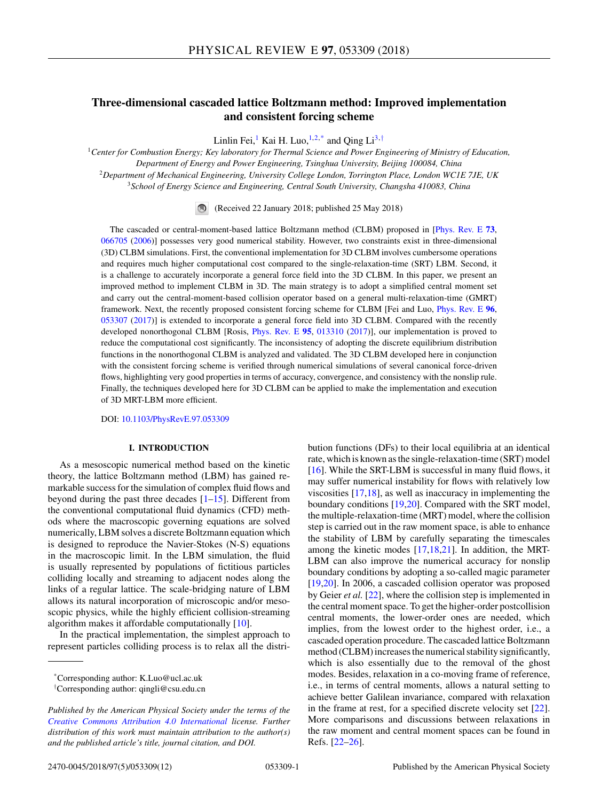# **Three-dimensional cascaded lattice Boltzmann method: Improved implementation and consistent forcing scheme**

Linlin Fei,<sup>1</sup> Kai H. Luo,<sup>1,2,\*</sup> and Qing Li<sup>3,†</sup>

*Center for Combustion Energy; Key laboratory for Thermal Science and Power Engineering of Ministry of Education, Department of Energy and Power Engineering, Tsinghua University, Beijing 100084, China Department of Mechanical Engineering, University College London, Torrington Place, London WC1E 7JE, UK School of Energy Science and Engineering, Central South University, Changsha 410083, China*

(Received 22 January 2018; published 25 May 2018)

The cascaded or central-moment-based lattice Boltzmann method (CLBM) proposed in [\[Phys. Rev. E](https://doi.org/10.1103/PhysRevE.73.066705) **[73](https://doi.org/10.1103/PhysRevE.73.066705)**, [066705](https://doi.org/10.1103/PhysRevE.73.066705) [\(2006\)](https://doi.org/10.1103/PhysRevE.73.066705)] possesses very good numerical stability. However, two constraints exist in three-dimensional (3D) CLBM simulations. First, the conventional implementation for 3D CLBM involves cumbersome operations and requires much higher computational cost compared to the single-relaxation-time (SRT) LBM. Second, it is a challenge to accurately incorporate a general force field into the 3D CLBM. In this paper, we present an improved method to implement CLBM in 3D. The main strategy is to adopt a simplified central moment set and carry out the central-moment-based collision operator based on a general multi-relaxation-time (GMRT) framework. Next, the recently proposed consistent forcing scheme for CLBM [Fei and Luo, [Phys. Rev. E](https://doi.org/10.1103/PhysRevE.96.053307) **[96](https://doi.org/10.1103/PhysRevE.96.053307)**, [053307](https://doi.org/10.1103/PhysRevE.96.053307) [\(2017\)](https://doi.org/10.1103/PhysRevE.96.053307)] is extended to incorporate a general force field into 3D CLBM. Compared with the recently developed nonorthogonal CLBM [Rosis, [Phys. Rev. E](https://doi.org/10.1103/PhysRevE.95.013310) **[95](https://doi.org/10.1103/PhysRevE.95.013310)**, [013310](https://doi.org/10.1103/PhysRevE.95.013310) [\(2017\)](https://doi.org/10.1103/PhysRevE.95.013310)], our implementation is proved to reduce the computational cost significantly. The inconsistency of adopting the discrete equilibrium distribution functions in the nonorthogonal CLBM is analyzed and validated. The 3D CLBM developed here in conjunction with the consistent forcing scheme is verified through numerical simulations of several canonical force-driven flows, highlighting very good properties in terms of accuracy, convergence, and consistency with the nonslip rule. Finally, the techniques developed here for 3D CLBM can be applied to make the implementation and execution of 3D MRT-LBM more efficient.

DOI: [10.1103/PhysRevE.97.053309](https://doi.org/10.1103/PhysRevE.97.053309)

### **I. INTRODUCTION**

As a mesoscopic numerical method based on the kinetic theory, the lattice Boltzmann method (LBM) has gained remarkable success for the simulation of complex fluid flows and beyond during the past three decades  $[1-15]$ . Different from the conventional computational fluid dynamics (CFD) methods where the macroscopic governing equations are solved numerically, LBM solves a discrete Boltzmann equation which is designed to reproduce the Navier-Stokes (N-S) equations in the macroscopic limit. In the LBM simulation, the fluid is usually represented by populations of fictitious particles colliding locally and streaming to adjacent nodes along the links of a regular lattice. The scale-bridging nature of LBM allows its natural incorporation of microscopic and/or mesoscopic physics, while the highly efficient collision-streaming algorithm makes it affordable computationally [\[10\]](#page-11-0).

In the practical implementation, the simplest approach to represent particles colliding process is to relax all the distribution functions (DFs) to their local equilibria at an identical rate, which is known as the single-relaxation-time (SRT) model [\[16\]](#page-11-0). While the SRT-LBM is successful in many fluid flows, it may suffer numerical instability for flows with relatively low viscosities [\[17,18\]](#page-11-0), as well as inaccuracy in implementing the boundary conditions [\[19,20\]](#page-11-0). Compared with the SRT model, the multiple-relaxation-time (MRT) model, where the collision step is carried out in the raw moment space, is able to enhance the stability of LBM by carefully separating the timescales among the kinetic modes [\[17,18,21\]](#page-11-0). In addition, the MRT-LBM can also improve the numerical accuracy for nonslip boundary conditions by adopting a so-called magic parameter [\[19,20\]](#page-11-0). In 2006, a cascaded collision operator was proposed by Geier *et al.* [\[22\]](#page-11-0), where the collision step is implemented in the central moment space. To get the higher-order postcollision central moments, the lower-order ones are needed, which implies, from the lowest order to the highest order, i.e., a cascaded operation procedure. The cascaded lattice Boltzmann method (CLBM) increases the numerical stability significantly, which is also essentially due to the removal of the ghost modes. Besides, relaxation in a co-moving frame of reference, i.e., in terms of central moments, allows a natural setting to achieve better Galilean invariance, compared with relaxation in the frame at rest, for a specified discrete velocity set [\[22\]](#page-11-0). More comparisons and discussions between relaxations in the raw moment and central moment spaces can be found in Refs. [\[22–26\]](#page-11-0).

<sup>\*</sup>Corresponding author: K.Luo@ucl.ac.uk

<sup>†</sup> Corresponding author: qingli@csu.edu.cn

*Published by the American Physical Society under the terms of the [Creative Commons Attribution 4.0 International](https://creativecommons.org/licenses/by/4.0/) license. Further distribution of this work must maintain attribution to the author(s) and the published article's title, journal citation, and DOI.*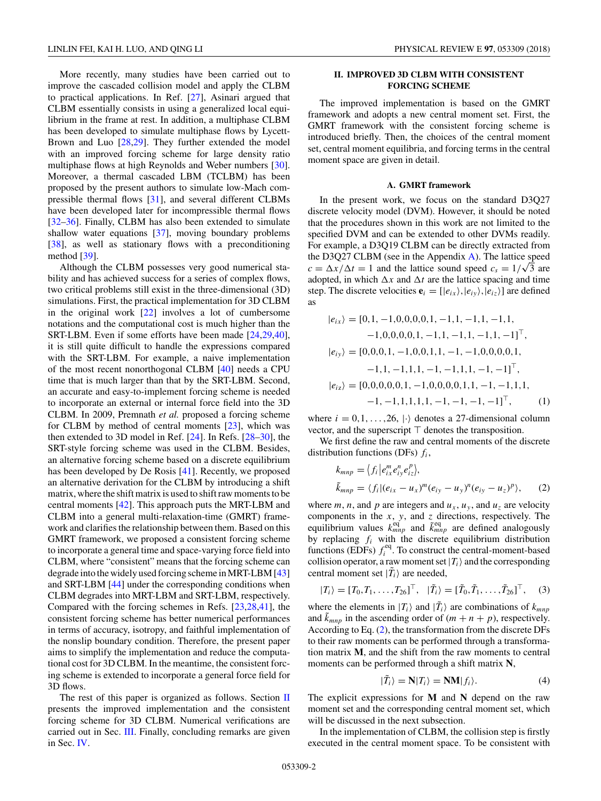<span id="page-1-0"></span>More recently, many studies have been carried out to improve the cascaded collision model and apply the CLBM to practical applications. In Ref. [\[27\]](#page-11-0), Asinari argued that CLBM essentially consists in using a generalized local equilibrium in the frame at rest. In addition, a multiphase CLBM has been developed to simulate multiphase flows by Lycett-Brown and Luo [\[28,29\]](#page-11-0). They further extended the model with an improved forcing scheme for large density ratio multiphase flows at high Reynolds and Weber numbers [\[30\]](#page-11-0). Moreover, a thermal cascaded LBM (TCLBM) has been proposed by the present authors to simulate low-Mach compressible thermal flows [\[31\]](#page-11-0), and several different CLBMs have been developed later for incompressible thermal flows [\[32–36\]](#page-11-0). Finally, CLBM has also been extended to simulate shallow water equations [\[37\]](#page-11-0), moving boundary problems [\[38\]](#page-11-0), as well as stationary flows with a preconditioning method [\[39\]](#page-11-0).

Although the CLBM possesses very good numerical stability and has achieved success for a series of complex flows, two critical problems still exist in the three-dimensional (3D) simulations. First, the practical implementation for 3D CLBM in the original work  $[22]$  involves a lot of cumbersome notations and the computational cost is much higher than the SRT-LBM. Even if some efforts have been made [\[24,29,40\]](#page-11-0), it is still quite difficult to handle the expressions compared with the SRT-LBM. For example, a naive implementation of the most recent nonorthogonal CLBM [\[40\]](#page-11-0) needs a CPU time that is much larger than that by the SRT-LBM. Second, an accurate and easy-to-implement forcing scheme is needed to incorporate an external or internal force field into the 3D CLBM. In 2009, Premnath *et al.* proposed a forcing scheme for CLBM by method of central moments [\[23\]](#page-11-0), which was then extended to 3D model in Ref. [\[24\]](#page-11-0). In Refs. [\[28–30\]](#page-11-0), the SRT-style forcing scheme was used in the CLBM. Besides, an alternative forcing scheme based on a discrete equilibrium has been developed by De Rosis [\[41\]](#page-11-0). Recently, we proposed an alternative derivation for the CLBM by introducing a shift matrix, where the shift matrix is used to shift raw moments to be central moments [\[42\]](#page-11-0). This approach puts the MRT-LBM and CLBM into a general multi-relaxation-time (GMRT) framework and clarifies the relationship between them. Based on this GMRT framework, we proposed a consistent forcing scheme to incorporate a general time and space-varying force field into CLBM, where "consistent" means that the forcing scheme can degrade into the widely used forcing scheme in MRT-LBM [\[43\]](#page-11-0) and SRT-LBM [\[44\]](#page-11-0) under the corresponding conditions when CLBM degrades into MRT-LBM and SRT-LBM, respectively. Compared with the forcing schemes in Refs. [\[23,28,41\]](#page-11-0), the consistent forcing scheme has better numerical performances in terms of accuracy, isotropy, and faithful implementation of the nonslip boundary condition. Therefore, the present paper aims to simplify the implementation and reduce the computational cost for 3D CLBM. In the meantime, the consistent forcing scheme is extended to incorporate a general force field for 3D flows.

The rest of this paper is organized as follows. Section II presents the improved implementation and the consistent forcing scheme for 3D CLBM. Numerical verifications are carried out in Sec. [III.](#page-4-0) Finally, concluding remarks are given in Sec. [IV.](#page-8-0)

# **II. IMPROVED 3D CLBM WITH CONSISTENT FORCING SCHEME**

The improved implementation is based on the GMRT framework and adopts a new central moment set. First, the GMRT framework with the consistent forcing scheme is introduced briefly. Then, the choices of the central moment set, central moment equilibria, and forcing terms in the central moment space are given in detail.

# **A. GMRT framework**

In the present work, we focus on the standard D3Q27 discrete velocity model (DVM). However, it should be noted that the procedures shown in this work are not limited to the specified DVM and can be extended to other DVMs readily. For example, a D3Q19 CLBM can be directly extracted from the D3Q27 CLBM (see in the Appendix [A\)](#page-8-0). The lattice speed  $c = \Delta x / \Delta t = 1$  and the lattice sound speed  $c_s = 1/\sqrt{3}$  are adopted, in which  $\Delta x$  and  $\Delta t$  are the lattice spacing and time step. The discrete velocities  $\mathbf{e}_i = [e_{ix}\rangle, e_{iy}\rangle, e_{iz}\rangle$  are defined as

$$
|e_{ix}\rangle = [0,1,-1,0,0,0,0,1,-1,1,-1,1,-1,1,-1,1,-1,0,0,0,0,1,-1,1,-1,1,-1,1,-1,1]^\top,|e_{iy}\rangle = [0,0,0,1,-1,0,0,1,1,-1,-1,0,0,0,0,1,-1,1,-1,1,1,-1,-1,1,1,-1,-1,1]^\top,|e_{iz}\rangle = [0,0,0,0,0,1,-1,0,0,0,0,1,1,-1,-1,1,1,-1,-1,1,1,1,1,-1,-1,-1,-1,1]^\top, (1)
$$

where  $i = 0, 1, \ldots, 26, |\cdot\rangle$  denotes a 27-dimensional column vector, and the superscript  $\top$  denotes the transposition.

We first define the raw and central moments of the discrete distribution functions (DFs) *fi*,

$$
k_{mnp} = \langle f_i | e_{ix}^m e_{iy}^n e_{iz}^p \rangle,
$$
  
\n
$$
\tilde{k}_{mnp} = \langle f_i | (e_{ix} - u_x)^m (e_{iy} - u_y)^n (e_{iy} - u_z)^p \rangle,
$$
 (2)

where *m*, *n*, and *p* are integers and  $u_x$ ,  $u_y$ , and  $u_z$  are velocity components in the *x*, *y*, and *z* directions, respectively. The equilibrium values  $k_{mnp}^{eq}$  and  $\tilde{k}_{mnp}^{eq}$  are defined analogously by replacing *fi* with the discrete equilibrium distribution functions (EDFs)  $f_i^{eq}$ . To construct the central-moment-based collision operator, a raw moment set  $|T_i\rangle$  and the corresponding central moment set  $|\tilde{T}_i\rangle$  are needed,

$$
|T_i\rangle = [T_0, T_1, \dots, T_{26}]^\top, \quad |\tilde{T}_i\rangle = [\tilde{T}_0, \tilde{T}_1, \dots, \tilde{T}_{26}]^\top, \quad (3)
$$

where the elements in  $|T_i\rangle$  and  $|\tilde{T}_i\rangle$  are combinations of  $k_{mnp}$ and  $\tilde{k}_{mnp}$  in the ascending order of  $(m + n + p)$ , respectively. According to Eq. (2), the transformation from the discrete DFs to their raw moments can be performed through a transformation matrix **M**, and the shift from the raw moments to central moments can be performed through a shift matrix **N**,

$$
|\tilde{T}_i\rangle = \mathbf{N}|T_i\rangle = \mathbf{N}\mathbf{M}|f_i\rangle.
$$
 (4)

The explicit expressions for **M** and **N** depend on the raw moment set and the corresponding central moment set, which will be discussed in the next subsection.

In the implementation of CLBM, the collision step is firstly executed in the central moment space. To be consistent with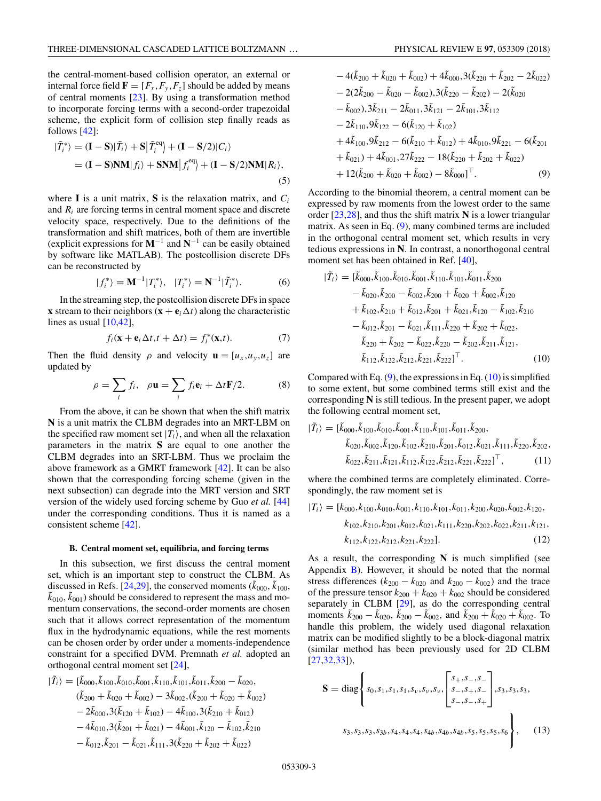<span id="page-2-0"></span>the central-moment-based collision operator, an external or internal force field  $\mathbf{F} = [F_x, F_y, F_z]$  should be added by means of central moments  $[23]$ . By using a transformation method to incorporate forcing terms with a second-order trapezoidal scheme, the explicit form of collision step finally reads as follows [\[42\]](#page-11-0):

$$
\begin{aligned} |\tilde{T}_i^* \rangle &= (\mathbf{I} - \mathbf{S}) |\tilde{T}_i \rangle + \mathbf{S} |\tilde{T}_i^{\text{eq}} \rangle + (\mathbf{I} - \mathbf{S}/2) |C_i \rangle \\ &= (\mathbf{I} - \mathbf{S}) \mathbf{N} \mathbf{M} |f_i \rangle + \mathbf{S} \mathbf{N} \mathbf{M} |f_i^{\text{eq}} \rangle + (\mathbf{I} - \mathbf{S}/2) \mathbf{N} \mathbf{M} |R_i \rangle, \end{aligned} \tag{5}
$$

where **I** is a unit matrix, **S** is the relaxation matrix, and  $C_i$ and *Ri* are forcing terms in central moment space and discrete velocity space, respectively. Due to the definitions of the transformation and shift matrices, both of them are invertible (explicit expressions for **M**−<sup>1</sup> and **N**−<sup>1</sup> can be easily obtained by software like MATLAB). The postcollision discrete DFs can be reconstructed by

$$
|f_i^*\rangle = \mathbf{M}^{-1}|T_i^*\rangle, \quad |T_i^*\rangle = \mathbf{N}^{-1}|\tilde{T}_i^*\rangle. \tag{6}
$$

In the streaming step, the postcollision discrete DFs in space **x** stream to their neighbors  $(\mathbf{x} + \mathbf{e}_i \Delta t)$  along the characteristic lines as usual  $[10,42]$ ,

$$
f_i(\mathbf{x} + \mathbf{e}_i \Delta t, t + \Delta t) = f_i^*(\mathbf{x}, t). \tag{7}
$$

Then the fluid density  $\rho$  and velocity  $\mathbf{u} = [u_x, u_y, u_z]$  are updated by

$$
\rho = \sum_{i} f_i, \quad \rho \mathbf{u} = \sum_{i} f_i \mathbf{e}_i + \Delta t \mathbf{F} / 2. \tag{8}
$$

From the above, it can be shown that when the shift matrix **N** is a unit matrix the CLBM degrades into an MRT-LBM on the specified raw moment set  $|T_i\rangle$ , and when all the relaxation parameters in the matrix **S** are equal to one another the CLBM degrades into an SRT-LBM. Thus we proclaim the above framework as a GMRT framework [\[42\]](#page-11-0). It can be also shown that the corresponding forcing scheme (given in the next subsection) can degrade into the MRT version and SRT version of the widely used forcing scheme by Guo *et al.* [\[44\]](#page-11-0) under the corresponding conditions. Thus it is named as a consistent scheme [\[42\]](#page-11-0).

#### **B. Central moment set, equilibria, and forcing terms**

In this subsection, we first discuss the central moment set, which is an important step to construct the CLBM. As discussed in Refs. [\[24,29\]](#page-11-0), the conserved moments ( $\tilde{k}_{000}$ ,  $\tilde{k}_{100}$ ,  $(\tilde{k}_{010}, \tilde{k}_{001})$  should be considered to represent the mass and momentum conservations, the second-order moments are chosen such that it allows correct representation of the momentum flux in the hydrodynamic equations, while the rest moments can be chosen order by order under a moments-independence constraint for a specified DVM. Premnath *et al.* adopted an orthogonal central moment set [\[24\]](#page-11-0),

$$
|\tilde{T}_i\rangle = [\tilde{k}_{000}, \tilde{k}_{100}, \tilde{k}_{010}, \tilde{k}_{001}, \tilde{k}_{101}, \tilde{k}_{011}, \tilde{k}_{200} - \tilde{k}_{020},
$$
  
\n
$$
(\tilde{k}_{200} + \tilde{k}_{020} + \tilde{k}_{002}) - 3\tilde{k}_{002}, (\tilde{k}_{200} + \tilde{k}_{020} + \tilde{k}_{002})
$$
  
\n
$$
- 2\tilde{k}_{000}, 3(\tilde{k}_{120} + \tilde{k}_{102}) - 4\tilde{k}_{100}, 3(\tilde{k}_{210} + \tilde{k}_{012})
$$
  
\n
$$
- 4\tilde{k}_{010}, 3(\tilde{k}_{201} + \tilde{k}_{021}) - 4\tilde{k}_{001}, \tilde{k}_{120} - \tilde{k}_{102}, \tilde{k}_{210}
$$
  
\n
$$
- \tilde{k}_{012}, \tilde{k}_{201} - \tilde{k}_{021}, \tilde{k}_{111}, 3(\tilde{k}_{220} + \tilde{k}_{202} + \tilde{k}_{022})
$$

$$
-4(\tilde{k}_{200} + \tilde{k}_{020} + \tilde{k}_{002}) + 4\tilde{k}_{000}, 3(\tilde{k}_{220} + \tilde{k}_{202} - 2\tilde{k}_{022})
$$
  
\n
$$
-2(2\tilde{k}_{200} - \tilde{k}_{020} - \tilde{k}_{002}), 3(\tilde{k}_{220} - \tilde{k}_{202}) - 2(\tilde{k}_{020} - \tilde{k}_{002}), 3\tilde{k}_{211} - 2\tilde{k}_{011}, 3\tilde{k}_{121} - 2\tilde{k}_{101}, 3\tilde{k}_{112}
$$
  
\n
$$
-2\tilde{k}_{110}, 9\tilde{k}_{122} - 6(\tilde{k}_{120} + \tilde{k}_{102})
$$
  
\n
$$
+4\tilde{k}_{100}, 9\tilde{k}_{212} - 6(\tilde{k}_{210} + \tilde{k}_{012}) + 4\tilde{k}_{010}, 9\tilde{k}_{221} - 6(\tilde{k}_{201} + \tilde{k}_{021}) + 4\tilde{k}_{001}, 27\tilde{k}_{222} - 18(\tilde{k}_{220} + \tilde{k}_{202} + \tilde{k}_{022})
$$
  
\n
$$
+12(\tilde{k}_{200} + \tilde{k}_{020} + \tilde{k}_{002}) - 8\tilde{k}_{000}]^{\top}.
$$
  
\n(9)

According to the binomial theorem, a central moment can be expressed by raw moments from the lowest order to the same order [\[23,28\]](#page-11-0), and thus the shift matrix **N** is a lower triangular matrix. As seen in Eq. (9), many combined terms are included in the orthogonal central moment set, which results in very tedious expressions in **N**. In contrast, a nonorthogonal central moment set has been obtained in Ref. [\[40\]](#page-11-0),

$$
|\tilde{T}_i\rangle = [\tilde{k}_{000}, \tilde{k}_{100}, \tilde{k}_{001}, \tilde{k}_{101}, \tilde{k}_{101}, \tilde{k}_{011}, \tilde{k}_{200} \n- \tilde{k}_{020}, \tilde{k}_{200} - \tilde{k}_{002}, \tilde{k}_{200} + \tilde{k}_{020} + \tilde{k}_{002}, \tilde{k}_{120} \n+ \tilde{k}_{102}, \tilde{k}_{210} + \tilde{k}_{012}, \tilde{k}_{201} + \tilde{k}_{021}, \tilde{k}_{120} - \tilde{k}_{102}, \tilde{k}_{210} \n- \tilde{k}_{012}, \tilde{k}_{201} - \tilde{k}_{021}, \tilde{k}_{111}, \tilde{k}_{220} + \tilde{k}_{202} + \tilde{k}_{022}, \n\tilde{k}_{220} + \tilde{k}_{202} - \tilde{k}_{022}, \tilde{k}_{220} - \tilde{k}_{202}, \tilde{k}_{211}, \tilde{k}_{121}, \n\tilde{k}_{112}, \tilde{k}_{122}, \tilde{k}_{212}, \tilde{k}_{221}, \tilde{k}_{222}]^\top.
$$
\n(10)

Compared with Eq.  $(9)$ , the expressions in Eq.  $(10)$  is simplified to some extent, but some combined terms still exist and the corresponding **N** is still tedious. In the present paper, we adopt the following central moment set,

$$
|\tilde{T}_i\rangle = [\tilde{k}_{000}, \tilde{k}_{100}, \tilde{k}_{010}, \tilde{k}_{001}, \tilde{k}_{110}, \tilde{k}_{101}, \tilde{k}_{200}, \n\tilde{k}_{020}, \tilde{k}_{002}, \tilde{k}_{120}, \tilde{k}_{102}, \tilde{k}_{210}, \tilde{k}_{011}, \tilde{k}_{012}, \tilde{k}_{021}, \tilde{k}_{111}, \tilde{k}_{220}, \tilde{k}_{202}, \n\tilde{k}_{022}, \tilde{k}_{211}, \tilde{k}_{121}, \tilde{k}_{112}, \tilde{k}_{122}, \tilde{k}_{212}, \tilde{k}_{221}, \tilde{k}_{222}]^\top, \tag{11}
$$

where the combined terms are completely eliminated. Correspondingly, the raw moment set is

 $|T_i\rangle = [k_{000}, k_{100}, k_{010}, k_{001}, k_{110}, k_{101}, k_{011}, k_{200}, k_{020}, k_{002}, k_{120},$ *k*102*,k*210*,k*201*,k*012*,k*021*,k*111*,k*220*,k*202*,k*022*,k*211*,k*121*, k*112*,k*122*,k*212*,k*221*,k*222]*.* (12)

As a result, the corresponding **N** is much simplified (see Appendix  $\bf{B}$ ). However, it should be noted that the normal stress differences ( $k_{200} - k_{020}$  and  $k_{200} - k_{002}$ ) and the trace of the pressure tensor  $k_{200} + k_{020} + k_{002}$  should be considered separately in CLBM [\[29\]](#page-11-0), as do the corresponding central moments  $\tilde{k}_{200} - \tilde{k}_{020}$ ,  $\tilde{k}_{200} - \tilde{k}_{002}$ , and  $\tilde{k}_{200} + \tilde{k}_{020} + \tilde{k}_{002}$ . To handle this problem, the widely used diagonal relaxation matrix can be modified slightly to be a block-diagonal matrix (similar method has been previously used for 2D CLBM [\[27,32,33\]](#page-11-0)),

$$
\mathbf{S} = \text{diag}\left\{s_0, s_1, s_1, s_1, s_\nu, s_\nu, s_\nu, \begin{bmatrix} s_+, s_-, s_- \\ s_-, s_+, s_- \\ s_-, s_-, s_+ \end{bmatrix}, s_3, s_3, s_3, s_3, s_4, s_4, s_4, s_4, s_4, s_5, s_5, s_5, s_5, s_6 \right\},\tag{13}
$$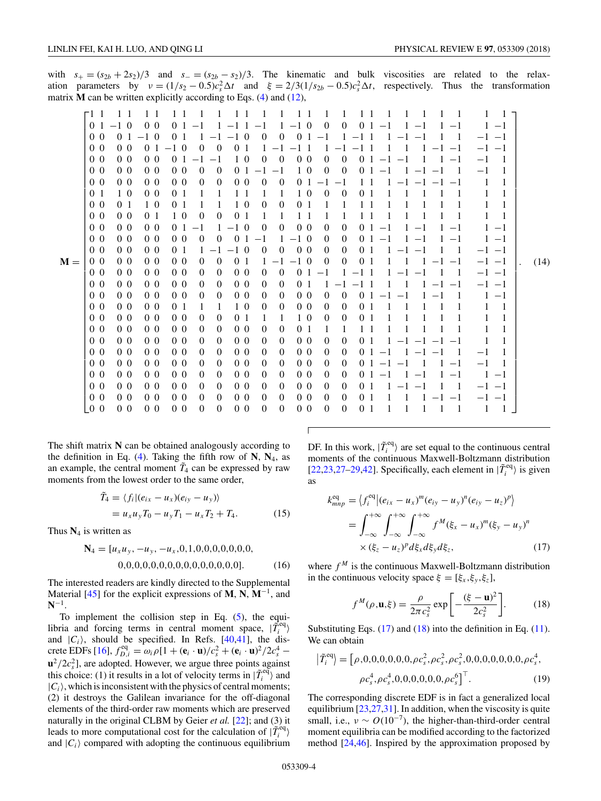<span id="page-3-0"></span>with  $s_+ = (s_{2b} + 2s_2)/3$  and  $s_- = (s_{2b} - s_2)/3$ . The kinematic and bulk viscosities are related to the relaxation parameters by  $v = (1/s_2 - 0.5)c_s^2 \Delta t$  and  $\xi = 2/3(1/s_{2b} - 0.5)c_s^2 \Delta t$ , respectively. Thus the transformation matrix **M** can be written explicitly according to Eqs. [\(4\)](#page-1-0) and [\(12\)](#page-2-0),

| 1<br>F1 1<br>$1\;1$<br>$1 \; 1$<br>-1<br>-1<br>$1 \; 1$<br>1<br>$\overline{1}$<br>-1<br>1<br>-1<br>-1<br>$-1\,0$<br>0 <sub>0</sub><br>$1 - 10$<br>$\mathbf{0}$<br>$\boldsymbol{0}$<br>0 <sub>1</sub><br>0 <sub>1</sub><br>0 <sub>1</sub><br>$1 -1$<br>$-1$<br>$1 - 1 1 - 1$<br>$-1$<br>$\mathbf{1}$<br>$-1$<br>1<br>$-1$<br>0 <sub>0</sub><br>0 <sub>1</sub><br>$-1\,0$<br>$\overline{0}$<br>$\overline{0}$<br>0 <sub>1</sub><br>0 <sub>1</sub><br>$-1\,0$<br>$-1$<br>-1<br>$-1$<br>$-1$<br>$-1$ 1<br>$-1$ $-1$<br>$-1$<br>0 <sub>0</sub><br>0 <sub>0</sub><br>0 <sub>1</sub><br>$\Omega$<br>$-1\,0$<br>$\theta$<br>$\theta$<br>-1<br>1<br>$-1$<br>$-11$<br>$-1$<br>$-1$ 1<br>1<br>1<br>$-1$ $-1$<br>$-1$<br>$-1$<br>Т.<br>$\overline{0}$<br>0 <sub>0</sub><br>0 <sub>0</sub><br>0 <sub>0</sub><br>0 <sub>1</sub><br>1 0<br>$\overline{0}$<br>0 <sub>0</sub><br>$\overline{0}$<br>0 <sub>1</sub><br>$-1$<br>$\overline{0}$<br>$-1$ $-1$<br>$-1$<br>$-1$<br>-1<br>$-1$<br>$\mathbf{1}$<br>0 <sub>0</sub><br>0 <sub>0</sub><br>$\Omega$<br>$\overline{0}$<br>1 0<br>$\theta$<br>0 <sub>0</sub><br>0 <sub>0</sub><br>0 <sub>1</sub><br>$\theta$<br>1<br>0 <sub>1</sub><br>$-1$<br>$-1$<br>$-1$<br>$-1$<br>0 <sub>0</sub><br>$\mathbf{0}$<br>0 <sub>0</sub><br>0 <sub>0</sub><br>0 <sub>0</sub><br>$\theta$<br>$\overline{0}$<br>0 <sub>0</sub><br>0<br>0 <sub>1</sub><br>1<br>1<br>$-1$<br>$1-1$<br>$-1$<br>$-1$<br>0 <sub>1</sub><br>1 0<br>0 <sub>0</sub><br>0 <sub>1</sub><br>0<br>1<br>1<br>1<br>10<br>$\theta$<br>1<br>1<br>1<br>0 <sub>1</sub><br>11<br>0 <sub>0</sub><br>0 <sub>1</sub><br>1 0<br>0 <sub>1</sub><br>0<br>1<br>10<br>$\theta$<br>0 <sub>1</sub><br>1<br>1<br>1<br>1<br>0 <sub>0</sub><br>$1\,0$<br>0 <sub>0</sub><br>0 <sub>1</sub><br>$\theta$<br>$\overline{0}$<br>0 <sub>1</sub><br>1<br>1<br>1<br>1<br>1<br>$1\quad1$<br>1<br>0 <sub>0</sub><br>0 <sub>0</sub><br>0 <sub>0</sub><br>0 <sub>0</sub><br>0 <sub>1</sub><br>$-1\,0$<br>$\theta$<br>$\overline{0}$<br>$\overline{0}$<br>$\overline{0}$<br>$-1$<br>0 <sub>1</sub><br>$-1$<br>$\mathbf{1}$<br>$-1$<br>$-1$<br>$1 -1$<br>1<br>0 <sub>0</sub><br>0 <sub>0</sub><br>0 <sub>0</sub><br>0 <sub>0</sub><br>$\Omega$<br>$\theta$<br>$\Omega$<br>$1 - 10$<br>$\theta$<br>$\theta$<br>0 <sub>1</sub><br>1<br>$-1$<br>$-1$<br>$\mathbf{1}$<br>$1 -1$<br>$1 -1$<br>$-1$<br>0 <sub>0</sub><br>0 <sub>0</sub><br>0 <sub>0</sub><br>0 <sub>0</sub><br>0 <sub>1</sub><br>$-1\,0$<br>$\overline{0}$<br>$\theta$<br>$\overline{0}$<br>0 <sub>1</sub><br>1<br>$-1$<br>$\overline{0}$<br>$-1$ $-1$<br>-1<br>1<br>$-1$ $-1$<br>T<br>$M =$<br>0 <sub>0</sub><br>0 <sub>0</sub><br>0 <sub>0</sub><br>$\overline{0}$<br>$-1\,0$<br>0 <sub>0</sub><br>$\theta$<br>0 <sub>1</sub><br>$\overline{0}$<br>1.<br>$\theta$<br>$\theta$<br>$-1$ $-1$<br>-1<br>$-1$ $-1$<br>0 <sub>0</sub><br>0 <sub>0</sub><br>0 <sub>0</sub><br>0 <sub>0</sub><br>$\theta$<br>$\overline{0}$<br>0 <sub>0</sub><br>$\overline{0}$<br>$\theta$<br>0 <sub>1</sub><br>$-1$<br>$-11$<br>$1 -1$<br>-1<br>$-1$ $-1$<br>$-1$<br>0 <sub>0</sub><br>0 <sub>0</sub><br>0 <sub>0</sub><br>0 <sub>0</sub><br>$\Omega$<br>$\theta$<br>0 <sub>0</sub><br>$\theta$<br>$\theta$<br>0 <sub>1</sub><br>$-1$ 1<br>1<br>$-1$ $-1$<br>$-1$<br>1<br>$-1$ $-1$<br>0 <sub>0</sub><br>0 <sub>0</sub><br>0 <sub>0</sub><br>0 <sub>0</sub><br>0 <sub>0</sub><br>0 <sub>0</sub><br>$\theta$<br>$\overline{0}$<br>$\overline{0}$<br>$\overline{0}$<br>$\overline{0}$<br>$\overline{0}$<br>0 <sub>1</sub><br>$-1$<br>$\mathbf{1}$<br>-1<br>$-1$<br>$-1$<br>$-1$<br>0 <sub>0</sub><br>0 <sub>0</sub><br>0 <sub>0</sub><br>0 <sub>1</sub><br>$1\,0$<br>0 <sub>0</sub><br>1<br>$\theta$<br>$\theta$<br>$\theta$<br>$\overline{0}$<br>1<br>-1<br>1<br>$\Omega$<br>0 <sub>0</sub><br>0 <sub>0</sub><br>0 <sub>0</sub><br>0 <sub>0</sub><br>$\overline{0}$<br>$\overline{0}$<br>1 0<br>0 <sub>1</sub><br>1<br>1<br>$\overline{0}$<br>$\overline{0}$<br>0 <sub>1</sub><br>1<br>1<br>0 <sub>0</sub><br>$\overline{0}$<br>0 <sub>0</sub><br>0 <sub>0</sub><br>0 <sub>0</sub><br>$\overline{0}$<br>0 <sub>0</sub><br>$\theta$<br>$\theta$<br>0 <sub>1</sub><br>1<br>1<br>1<br>1<br>$1\quad$<br>0 <sub>0</sub><br>0 <sub>0</sub><br>0 <sub>0</sub><br>0 <sub>0</sub><br>0 <sub>0</sub><br>$\overline{0}$<br>$\overline{0}$<br>$\overline{0}$<br>0 <sub>0</sub><br>1<br>1<br>$\theta$<br>$\overline{0}$<br>$\overline{0}$<br>0 <sub>1</sub><br>1<br>$-1$<br>$-1$<br>$-1$<br>0 <sub>0</sub><br>0 <sub>0</sub><br>0 <sub>0</sub><br>0 <sub>0</sub><br>0 <sub>0</sub><br>0 <sub>0</sub><br>$\theta$<br>$\boldsymbol{0}$<br>$\overline{0}$<br>$\boldsymbol{0}$<br>$\theta$<br>$\overline{0}$<br>1<br>$01 -1$<br>$-1$<br>0 <sub>0</sub><br>$\mathbf{0}$<br>0 <sub>0</sub><br>0 <sub>0</sub><br>0 <sub>0</sub><br>$\theta$<br>0 <sub>0</sub><br>0 <sub>0</sub><br>$\overline{0}$<br>$\theta$<br>$\overline{0}$<br>$\overline{0}$<br>$-1$<br>$01 -1 -1$<br>1<br>$-1$<br>0 <sub>0</sub><br>0 <sub>0</sub><br>0 <sub>0</sub><br>0 <sub>0</sub><br>$\theta$<br>$\overline{0}$<br>0 <sub>0</sub><br>$\overline{0}$<br>0 <sub>0</sub><br>$\overline{0}$<br>$\theta$<br>$\theta$<br>-1<br>$-1$<br>0 <sup>1</sup><br>$-1$<br>$1 -1$<br>$-1$<br>0 <sub>0</sub><br>0 <sub>0</sub><br>0 <sub>0</sub><br>0 <sub>0</sub><br>0 <sub>0</sub><br>0 <sub>0</sub><br>$\theta$<br>$\overline{0}$<br>$\overline{0}$<br>$\boldsymbol{0}$<br>$\overline{0}$<br>$\theta$<br>0 <sup>1</sup><br>$-1$<br>-1<br>$-1$<br>$-1$<br>1<br>$-1$<br>0 <sub>0</sub><br>0 <sub>0</sub><br>0 <sub>0</sub><br>0 <sub>0</sub><br>0 <sub>0</sub><br>0 <sub>0</sub><br>$\theta$<br>$\mathbf{0}$<br>$\boldsymbol{0}$<br>$\boldsymbol{0}$<br>$\mathbf{0}$<br>$\theta$<br>0 <sub>1</sub><br>$-1$<br>$-1$ $-1$<br>LO 0<br>0 <sub>0</sub><br>0 <sub>0</sub><br>0 <sub>0</sub><br>$\overline{0}$<br>$\overline{0}$<br>0 <sub>0</sub><br>$\overline{0}$<br>0 <sub>0</sub><br>$\overline{0}$<br>$\overline{0}$<br>$\overline{0}$<br>0 <sub>1</sub><br>1<br>1<br>-1<br>-1<br>1 |  |  |  |  |  |  |      |
|---------------------------------------------------------------------------------------------------------------------------------------------------------------------------------------------------------------------------------------------------------------------------------------------------------------------------------------------------------------------------------------------------------------------------------------------------------------------------------------------------------------------------------------------------------------------------------------------------------------------------------------------------------------------------------------------------------------------------------------------------------------------------------------------------------------------------------------------------------------------------------------------------------------------------------------------------------------------------------------------------------------------------------------------------------------------------------------------------------------------------------------------------------------------------------------------------------------------------------------------------------------------------------------------------------------------------------------------------------------------------------------------------------------------------------------------------------------------------------------------------------------------------------------------------------------------------------------------------------------------------------------------------------------------------------------------------------------------------------------------------------------------------------------------------------------------------------------------------------------------------------------------------------------------------------------------------------------------------------------------------------------------------------------------------------------------------------------------------------------------------------------------------------------------------------------------------------------------------------------------------------------------------------------------------------------------------------------------------------------------------------------------------------------------------------------------------------------------------------------------------------------------------------------------------------------------------------------------------------------------------------------------------------------------------------------------------------------------------------------------------------------------------------------------------------------------------------------------------------------------------------------------------------------------------------------------------------------------------------------------------------------------------------------------------------------------------------------------------------------------------------------------------------------------------------------------------------------------------------------------------------------------------------------------------------------------------------------------------------------------------------------------------------------------------------------------------------------------------------------------------------------------------------------------------------------------------------------------------------------------------------------------------------------------------------------------------------------------------------------------------------------------------------------------------------------------------------------------------------------------------------------------------------------------------------------------------------------------------------------------------------------------------------------------------------------------------------------------------------------------------------------------------------------------------------------------------------------------------------------------------------------------------------------------------------------------------------------------------------------------------------------------------------------------------------------------------------------------------------------------------------------------------------------------------------------------------------------------------------------------------------------------------------------------------------------------------------------------------------------------------------------------------------------------------------------------------------------------------------------------------------------------------------------------------------------------------------------------------------------------------------------------------------------------------------------------------------------------------------------------------------------------------------------------------------------------------------------------------------------------------------------------------------------------------------------------------------------------------------------------------------------------------------------------------------------------------------------------------------------------------------------------------------------------------------------------------------------------------------------------------------------------------------------------------------------------------------------------------------------------------------------------------------------------------------------------------------------------------------------------------------------------------------------------------------------------------------------------------------------------------------------|--|--|--|--|--|--|------|
|                                                                                                                                                                                                                                                                                                                                                                                                                                                                                                                                                                                                                                                                                                                                                                                                                                                                                                                                                                                                                                                                                                                                                                                                                                                                                                                                                                                                                                                                                                                                                                                                                                                                                                                                                                                                                                                                                                                                                                                                                                                                                                                                                                                                                                                                                                                                                                                                                                                                                                                                                                                                                                                                                                                                                                                                                                                                                                                                                                                                                                                                                                                                                                                                                                                                                                                                                                                                                                                                                                                                                                                                                                                                                                                                                                                                                                                                                                                                                                                                                                                                                                                                                                                                                                                                                                                                                                                                                                                                                                                                                                                                                                                                                                                                                                                                                                                                                                                                                                                                                                                                                                                                                                                                                                                                                                                                                                                                                                                                                                                                                                                                                                                                                                                                                                                                                                                                                                                                                                                                               |  |  |  |  |  |  |      |
|                                                                                                                                                                                                                                                                                                                                                                                                                                                                                                                                                                                                                                                                                                                                                                                                                                                                                                                                                                                                                                                                                                                                                                                                                                                                                                                                                                                                                                                                                                                                                                                                                                                                                                                                                                                                                                                                                                                                                                                                                                                                                                                                                                                                                                                                                                                                                                                                                                                                                                                                                                                                                                                                                                                                                                                                                                                                                                                                                                                                                                                                                                                                                                                                                                                                                                                                                                                                                                                                                                                                                                                                                                                                                                                                                                                                                                                                                                                                                                                                                                                                                                                                                                                                                                                                                                                                                                                                                                                                                                                                                                                                                                                                                                                                                                                                                                                                                                                                                                                                                                                                                                                                                                                                                                                                                                                                                                                                                                                                                                                                                                                                                                                                                                                                                                                                                                                                                                                                                                                                               |  |  |  |  |  |  |      |
|                                                                                                                                                                                                                                                                                                                                                                                                                                                                                                                                                                                                                                                                                                                                                                                                                                                                                                                                                                                                                                                                                                                                                                                                                                                                                                                                                                                                                                                                                                                                                                                                                                                                                                                                                                                                                                                                                                                                                                                                                                                                                                                                                                                                                                                                                                                                                                                                                                                                                                                                                                                                                                                                                                                                                                                                                                                                                                                                                                                                                                                                                                                                                                                                                                                                                                                                                                                                                                                                                                                                                                                                                                                                                                                                                                                                                                                                                                                                                                                                                                                                                                                                                                                                                                                                                                                                                                                                                                                                                                                                                                                                                                                                                                                                                                                                                                                                                                                                                                                                                                                                                                                                                                                                                                                                                                                                                                                                                                                                                                                                                                                                                                                                                                                                                                                                                                                                                                                                                                                                               |  |  |  |  |  |  |      |
|                                                                                                                                                                                                                                                                                                                                                                                                                                                                                                                                                                                                                                                                                                                                                                                                                                                                                                                                                                                                                                                                                                                                                                                                                                                                                                                                                                                                                                                                                                                                                                                                                                                                                                                                                                                                                                                                                                                                                                                                                                                                                                                                                                                                                                                                                                                                                                                                                                                                                                                                                                                                                                                                                                                                                                                                                                                                                                                                                                                                                                                                                                                                                                                                                                                                                                                                                                                                                                                                                                                                                                                                                                                                                                                                                                                                                                                                                                                                                                                                                                                                                                                                                                                                                                                                                                                                                                                                                                                                                                                                                                                                                                                                                                                                                                                                                                                                                                                                                                                                                                                                                                                                                                                                                                                                                                                                                                                                                                                                                                                                                                                                                                                                                                                                                                                                                                                                                                                                                                                                               |  |  |  |  |  |  |      |
|                                                                                                                                                                                                                                                                                                                                                                                                                                                                                                                                                                                                                                                                                                                                                                                                                                                                                                                                                                                                                                                                                                                                                                                                                                                                                                                                                                                                                                                                                                                                                                                                                                                                                                                                                                                                                                                                                                                                                                                                                                                                                                                                                                                                                                                                                                                                                                                                                                                                                                                                                                                                                                                                                                                                                                                                                                                                                                                                                                                                                                                                                                                                                                                                                                                                                                                                                                                                                                                                                                                                                                                                                                                                                                                                                                                                                                                                                                                                                                                                                                                                                                                                                                                                                                                                                                                                                                                                                                                                                                                                                                                                                                                                                                                                                                                                                                                                                                                                                                                                                                                                                                                                                                                                                                                                                                                                                                                                                                                                                                                                                                                                                                                                                                                                                                                                                                                                                                                                                                                                               |  |  |  |  |  |  |      |
|                                                                                                                                                                                                                                                                                                                                                                                                                                                                                                                                                                                                                                                                                                                                                                                                                                                                                                                                                                                                                                                                                                                                                                                                                                                                                                                                                                                                                                                                                                                                                                                                                                                                                                                                                                                                                                                                                                                                                                                                                                                                                                                                                                                                                                                                                                                                                                                                                                                                                                                                                                                                                                                                                                                                                                                                                                                                                                                                                                                                                                                                                                                                                                                                                                                                                                                                                                                                                                                                                                                                                                                                                                                                                                                                                                                                                                                                                                                                                                                                                                                                                                                                                                                                                                                                                                                                                                                                                                                                                                                                                                                                                                                                                                                                                                                                                                                                                                                                                                                                                                                                                                                                                                                                                                                                                                                                                                                                                                                                                                                                                                                                                                                                                                                                                                                                                                                                                                                                                                                                               |  |  |  |  |  |  |      |
|                                                                                                                                                                                                                                                                                                                                                                                                                                                                                                                                                                                                                                                                                                                                                                                                                                                                                                                                                                                                                                                                                                                                                                                                                                                                                                                                                                                                                                                                                                                                                                                                                                                                                                                                                                                                                                                                                                                                                                                                                                                                                                                                                                                                                                                                                                                                                                                                                                                                                                                                                                                                                                                                                                                                                                                                                                                                                                                                                                                                                                                                                                                                                                                                                                                                                                                                                                                                                                                                                                                                                                                                                                                                                                                                                                                                                                                                                                                                                                                                                                                                                                                                                                                                                                                                                                                                                                                                                                                                                                                                                                                                                                                                                                                                                                                                                                                                                                                                                                                                                                                                                                                                                                                                                                                                                                                                                                                                                                                                                                                                                                                                                                                                                                                                                                                                                                                                                                                                                                                                               |  |  |  |  |  |  |      |
|                                                                                                                                                                                                                                                                                                                                                                                                                                                                                                                                                                                                                                                                                                                                                                                                                                                                                                                                                                                                                                                                                                                                                                                                                                                                                                                                                                                                                                                                                                                                                                                                                                                                                                                                                                                                                                                                                                                                                                                                                                                                                                                                                                                                                                                                                                                                                                                                                                                                                                                                                                                                                                                                                                                                                                                                                                                                                                                                                                                                                                                                                                                                                                                                                                                                                                                                                                                                                                                                                                                                                                                                                                                                                                                                                                                                                                                                                                                                                                                                                                                                                                                                                                                                                                                                                                                                                                                                                                                                                                                                                                                                                                                                                                                                                                                                                                                                                                                                                                                                                                                                                                                                                                                                                                                                                                                                                                                                                                                                                                                                                                                                                                                                                                                                                                                                                                                                                                                                                                                                               |  |  |  |  |  |  |      |
|                                                                                                                                                                                                                                                                                                                                                                                                                                                                                                                                                                                                                                                                                                                                                                                                                                                                                                                                                                                                                                                                                                                                                                                                                                                                                                                                                                                                                                                                                                                                                                                                                                                                                                                                                                                                                                                                                                                                                                                                                                                                                                                                                                                                                                                                                                                                                                                                                                                                                                                                                                                                                                                                                                                                                                                                                                                                                                                                                                                                                                                                                                                                                                                                                                                                                                                                                                                                                                                                                                                                                                                                                                                                                                                                                                                                                                                                                                                                                                                                                                                                                                                                                                                                                                                                                                                                                                                                                                                                                                                                                                                                                                                                                                                                                                                                                                                                                                                                                                                                                                                                                                                                                                                                                                                                                                                                                                                                                                                                                                                                                                                                                                                                                                                                                                                                                                                                                                                                                                                                               |  |  |  |  |  |  |      |
|                                                                                                                                                                                                                                                                                                                                                                                                                                                                                                                                                                                                                                                                                                                                                                                                                                                                                                                                                                                                                                                                                                                                                                                                                                                                                                                                                                                                                                                                                                                                                                                                                                                                                                                                                                                                                                                                                                                                                                                                                                                                                                                                                                                                                                                                                                                                                                                                                                                                                                                                                                                                                                                                                                                                                                                                                                                                                                                                                                                                                                                                                                                                                                                                                                                                                                                                                                                                                                                                                                                                                                                                                                                                                                                                                                                                                                                                                                                                                                                                                                                                                                                                                                                                                                                                                                                                                                                                                                                                                                                                                                                                                                                                                                                                                                                                                                                                                                                                                                                                                                                                                                                                                                                                                                                                                                                                                                                                                                                                                                                                                                                                                                                                                                                                                                                                                                                                                                                                                                                                               |  |  |  |  |  |  |      |
|                                                                                                                                                                                                                                                                                                                                                                                                                                                                                                                                                                                                                                                                                                                                                                                                                                                                                                                                                                                                                                                                                                                                                                                                                                                                                                                                                                                                                                                                                                                                                                                                                                                                                                                                                                                                                                                                                                                                                                                                                                                                                                                                                                                                                                                                                                                                                                                                                                                                                                                                                                                                                                                                                                                                                                                                                                                                                                                                                                                                                                                                                                                                                                                                                                                                                                                                                                                                                                                                                                                                                                                                                                                                                                                                                                                                                                                                                                                                                                                                                                                                                                                                                                                                                                                                                                                                                                                                                                                                                                                                                                                                                                                                                                                                                                                                                                                                                                                                                                                                                                                                                                                                                                                                                                                                                                                                                                                                                                                                                                                                                                                                                                                                                                                                                                                                                                                                                                                                                                                                               |  |  |  |  |  |  |      |
|                                                                                                                                                                                                                                                                                                                                                                                                                                                                                                                                                                                                                                                                                                                                                                                                                                                                                                                                                                                                                                                                                                                                                                                                                                                                                                                                                                                                                                                                                                                                                                                                                                                                                                                                                                                                                                                                                                                                                                                                                                                                                                                                                                                                                                                                                                                                                                                                                                                                                                                                                                                                                                                                                                                                                                                                                                                                                                                                                                                                                                                                                                                                                                                                                                                                                                                                                                                                                                                                                                                                                                                                                                                                                                                                                                                                                                                                                                                                                                                                                                                                                                                                                                                                                                                                                                                                                                                                                                                                                                                                                                                                                                                                                                                                                                                                                                                                                                                                                                                                                                                                                                                                                                                                                                                                                                                                                                                                                                                                                                                                                                                                                                                                                                                                                                                                                                                                                                                                                                                                               |  |  |  |  |  |  |      |
|                                                                                                                                                                                                                                                                                                                                                                                                                                                                                                                                                                                                                                                                                                                                                                                                                                                                                                                                                                                                                                                                                                                                                                                                                                                                                                                                                                                                                                                                                                                                                                                                                                                                                                                                                                                                                                                                                                                                                                                                                                                                                                                                                                                                                                                                                                                                                                                                                                                                                                                                                                                                                                                                                                                                                                                                                                                                                                                                                                                                                                                                                                                                                                                                                                                                                                                                                                                                                                                                                                                                                                                                                                                                                                                                                                                                                                                                                                                                                                                                                                                                                                                                                                                                                                                                                                                                                                                                                                                                                                                                                                                                                                                                                                                                                                                                                                                                                                                                                                                                                                                                                                                                                                                                                                                                                                                                                                                                                                                                                                                                                                                                                                                                                                                                                                                                                                                                                                                                                                                                               |  |  |  |  |  |  |      |
|                                                                                                                                                                                                                                                                                                                                                                                                                                                                                                                                                                                                                                                                                                                                                                                                                                                                                                                                                                                                                                                                                                                                                                                                                                                                                                                                                                                                                                                                                                                                                                                                                                                                                                                                                                                                                                                                                                                                                                                                                                                                                                                                                                                                                                                                                                                                                                                                                                                                                                                                                                                                                                                                                                                                                                                                                                                                                                                                                                                                                                                                                                                                                                                                                                                                                                                                                                                                                                                                                                                                                                                                                                                                                                                                                                                                                                                                                                                                                                                                                                                                                                                                                                                                                                                                                                                                                                                                                                                                                                                                                                                                                                                                                                                                                                                                                                                                                                                                                                                                                                                                                                                                                                                                                                                                                                                                                                                                                                                                                                                                                                                                                                                                                                                                                                                                                                                                                                                                                                                                               |  |  |  |  |  |  | (14) |
|                                                                                                                                                                                                                                                                                                                                                                                                                                                                                                                                                                                                                                                                                                                                                                                                                                                                                                                                                                                                                                                                                                                                                                                                                                                                                                                                                                                                                                                                                                                                                                                                                                                                                                                                                                                                                                                                                                                                                                                                                                                                                                                                                                                                                                                                                                                                                                                                                                                                                                                                                                                                                                                                                                                                                                                                                                                                                                                                                                                                                                                                                                                                                                                                                                                                                                                                                                                                                                                                                                                                                                                                                                                                                                                                                                                                                                                                                                                                                                                                                                                                                                                                                                                                                                                                                                                                                                                                                                                                                                                                                                                                                                                                                                                                                                                                                                                                                                                                                                                                                                                                                                                                                                                                                                                                                                                                                                                                                                                                                                                                                                                                                                                                                                                                                                                                                                                                                                                                                                                                               |  |  |  |  |  |  |      |
|                                                                                                                                                                                                                                                                                                                                                                                                                                                                                                                                                                                                                                                                                                                                                                                                                                                                                                                                                                                                                                                                                                                                                                                                                                                                                                                                                                                                                                                                                                                                                                                                                                                                                                                                                                                                                                                                                                                                                                                                                                                                                                                                                                                                                                                                                                                                                                                                                                                                                                                                                                                                                                                                                                                                                                                                                                                                                                                                                                                                                                                                                                                                                                                                                                                                                                                                                                                                                                                                                                                                                                                                                                                                                                                                                                                                                                                                                                                                                                                                                                                                                                                                                                                                                                                                                                                                                                                                                                                                                                                                                                                                                                                                                                                                                                                                                                                                                                                                                                                                                                                                                                                                                                                                                                                                                                                                                                                                                                                                                                                                                                                                                                                                                                                                                                                                                                                                                                                                                                                                               |  |  |  |  |  |  |      |
|                                                                                                                                                                                                                                                                                                                                                                                                                                                                                                                                                                                                                                                                                                                                                                                                                                                                                                                                                                                                                                                                                                                                                                                                                                                                                                                                                                                                                                                                                                                                                                                                                                                                                                                                                                                                                                                                                                                                                                                                                                                                                                                                                                                                                                                                                                                                                                                                                                                                                                                                                                                                                                                                                                                                                                                                                                                                                                                                                                                                                                                                                                                                                                                                                                                                                                                                                                                                                                                                                                                                                                                                                                                                                                                                                                                                                                                                                                                                                                                                                                                                                                                                                                                                                                                                                                                                                                                                                                                                                                                                                                                                                                                                                                                                                                                                                                                                                                                                                                                                                                                                                                                                                                                                                                                                                                                                                                                                                                                                                                                                                                                                                                                                                                                                                                                                                                                                                                                                                                                                               |  |  |  |  |  |  |      |
|                                                                                                                                                                                                                                                                                                                                                                                                                                                                                                                                                                                                                                                                                                                                                                                                                                                                                                                                                                                                                                                                                                                                                                                                                                                                                                                                                                                                                                                                                                                                                                                                                                                                                                                                                                                                                                                                                                                                                                                                                                                                                                                                                                                                                                                                                                                                                                                                                                                                                                                                                                                                                                                                                                                                                                                                                                                                                                                                                                                                                                                                                                                                                                                                                                                                                                                                                                                                                                                                                                                                                                                                                                                                                                                                                                                                                                                                                                                                                                                                                                                                                                                                                                                                                                                                                                                                                                                                                                                                                                                                                                                                                                                                                                                                                                                                                                                                                                                                                                                                                                                                                                                                                                                                                                                                                                                                                                                                                                                                                                                                                                                                                                                                                                                                                                                                                                                                                                                                                                                                               |  |  |  |  |  |  |      |
|                                                                                                                                                                                                                                                                                                                                                                                                                                                                                                                                                                                                                                                                                                                                                                                                                                                                                                                                                                                                                                                                                                                                                                                                                                                                                                                                                                                                                                                                                                                                                                                                                                                                                                                                                                                                                                                                                                                                                                                                                                                                                                                                                                                                                                                                                                                                                                                                                                                                                                                                                                                                                                                                                                                                                                                                                                                                                                                                                                                                                                                                                                                                                                                                                                                                                                                                                                                                                                                                                                                                                                                                                                                                                                                                                                                                                                                                                                                                                                                                                                                                                                                                                                                                                                                                                                                                                                                                                                                                                                                                                                                                                                                                                                                                                                                                                                                                                                                                                                                                                                                                                                                                                                                                                                                                                                                                                                                                                                                                                                                                                                                                                                                                                                                                                                                                                                                                                                                                                                                                               |  |  |  |  |  |  |      |
|                                                                                                                                                                                                                                                                                                                                                                                                                                                                                                                                                                                                                                                                                                                                                                                                                                                                                                                                                                                                                                                                                                                                                                                                                                                                                                                                                                                                                                                                                                                                                                                                                                                                                                                                                                                                                                                                                                                                                                                                                                                                                                                                                                                                                                                                                                                                                                                                                                                                                                                                                                                                                                                                                                                                                                                                                                                                                                                                                                                                                                                                                                                                                                                                                                                                                                                                                                                                                                                                                                                                                                                                                                                                                                                                                                                                                                                                                                                                                                                                                                                                                                                                                                                                                                                                                                                                                                                                                                                                                                                                                                                                                                                                                                                                                                                                                                                                                                                                                                                                                                                                                                                                                                                                                                                                                                                                                                                                                                                                                                                                                                                                                                                                                                                                                                                                                                                                                                                                                                                                               |  |  |  |  |  |  |      |
|                                                                                                                                                                                                                                                                                                                                                                                                                                                                                                                                                                                                                                                                                                                                                                                                                                                                                                                                                                                                                                                                                                                                                                                                                                                                                                                                                                                                                                                                                                                                                                                                                                                                                                                                                                                                                                                                                                                                                                                                                                                                                                                                                                                                                                                                                                                                                                                                                                                                                                                                                                                                                                                                                                                                                                                                                                                                                                                                                                                                                                                                                                                                                                                                                                                                                                                                                                                                                                                                                                                                                                                                                                                                                                                                                                                                                                                                                                                                                                                                                                                                                                                                                                                                                                                                                                                                                                                                                                                                                                                                                                                                                                                                                                                                                                                                                                                                                                                                                                                                                                                                                                                                                                                                                                                                                                                                                                                                                                                                                                                                                                                                                                                                                                                                                                                                                                                                                                                                                                                                               |  |  |  |  |  |  |      |
|                                                                                                                                                                                                                                                                                                                                                                                                                                                                                                                                                                                                                                                                                                                                                                                                                                                                                                                                                                                                                                                                                                                                                                                                                                                                                                                                                                                                                                                                                                                                                                                                                                                                                                                                                                                                                                                                                                                                                                                                                                                                                                                                                                                                                                                                                                                                                                                                                                                                                                                                                                                                                                                                                                                                                                                                                                                                                                                                                                                                                                                                                                                                                                                                                                                                                                                                                                                                                                                                                                                                                                                                                                                                                                                                                                                                                                                                                                                                                                                                                                                                                                                                                                                                                                                                                                                                                                                                                                                                                                                                                                                                                                                                                                                                                                                                                                                                                                                                                                                                                                                                                                                                                                                                                                                                                                                                                                                                                                                                                                                                                                                                                                                                                                                                                                                                                                                                                                                                                                                                               |  |  |  |  |  |  |      |
|                                                                                                                                                                                                                                                                                                                                                                                                                                                                                                                                                                                                                                                                                                                                                                                                                                                                                                                                                                                                                                                                                                                                                                                                                                                                                                                                                                                                                                                                                                                                                                                                                                                                                                                                                                                                                                                                                                                                                                                                                                                                                                                                                                                                                                                                                                                                                                                                                                                                                                                                                                                                                                                                                                                                                                                                                                                                                                                                                                                                                                                                                                                                                                                                                                                                                                                                                                                                                                                                                                                                                                                                                                                                                                                                                                                                                                                                                                                                                                                                                                                                                                                                                                                                                                                                                                                                                                                                                                                                                                                                                                                                                                                                                                                                                                                                                                                                                                                                                                                                                                                                                                                                                                                                                                                                                                                                                                                                                                                                                                                                                                                                                                                                                                                                                                                                                                                                                                                                                                                                               |  |  |  |  |  |  |      |
|                                                                                                                                                                                                                                                                                                                                                                                                                                                                                                                                                                                                                                                                                                                                                                                                                                                                                                                                                                                                                                                                                                                                                                                                                                                                                                                                                                                                                                                                                                                                                                                                                                                                                                                                                                                                                                                                                                                                                                                                                                                                                                                                                                                                                                                                                                                                                                                                                                                                                                                                                                                                                                                                                                                                                                                                                                                                                                                                                                                                                                                                                                                                                                                                                                                                                                                                                                                                                                                                                                                                                                                                                                                                                                                                                                                                                                                                                                                                                                                                                                                                                                                                                                                                                                                                                                                                                                                                                                                                                                                                                                                                                                                                                                                                                                                                                                                                                                                                                                                                                                                                                                                                                                                                                                                                                                                                                                                                                                                                                                                                                                                                                                                                                                                                                                                                                                                                                                                                                                                                               |  |  |  |  |  |  |      |
|                                                                                                                                                                                                                                                                                                                                                                                                                                                                                                                                                                                                                                                                                                                                                                                                                                                                                                                                                                                                                                                                                                                                                                                                                                                                                                                                                                                                                                                                                                                                                                                                                                                                                                                                                                                                                                                                                                                                                                                                                                                                                                                                                                                                                                                                                                                                                                                                                                                                                                                                                                                                                                                                                                                                                                                                                                                                                                                                                                                                                                                                                                                                                                                                                                                                                                                                                                                                                                                                                                                                                                                                                                                                                                                                                                                                                                                                                                                                                                                                                                                                                                                                                                                                                                                                                                                                                                                                                                                                                                                                                                                                                                                                                                                                                                                                                                                                                                                                                                                                                                                                                                                                                                                                                                                                                                                                                                                                                                                                                                                                                                                                                                                                                                                                                                                                                                                                                                                                                                                                               |  |  |  |  |  |  |      |
|                                                                                                                                                                                                                                                                                                                                                                                                                                                                                                                                                                                                                                                                                                                                                                                                                                                                                                                                                                                                                                                                                                                                                                                                                                                                                                                                                                                                                                                                                                                                                                                                                                                                                                                                                                                                                                                                                                                                                                                                                                                                                                                                                                                                                                                                                                                                                                                                                                                                                                                                                                                                                                                                                                                                                                                                                                                                                                                                                                                                                                                                                                                                                                                                                                                                                                                                                                                                                                                                                                                                                                                                                                                                                                                                                                                                                                                                                                                                                                                                                                                                                                                                                                                                                                                                                                                                                                                                                                                                                                                                                                                                                                                                                                                                                                                                                                                                                                                                                                                                                                                                                                                                                                                                                                                                                                                                                                                                                                                                                                                                                                                                                                                                                                                                                                                                                                                                                                                                                                                                               |  |  |  |  |  |  |      |
|                                                                                                                                                                                                                                                                                                                                                                                                                                                                                                                                                                                                                                                                                                                                                                                                                                                                                                                                                                                                                                                                                                                                                                                                                                                                                                                                                                                                                                                                                                                                                                                                                                                                                                                                                                                                                                                                                                                                                                                                                                                                                                                                                                                                                                                                                                                                                                                                                                                                                                                                                                                                                                                                                                                                                                                                                                                                                                                                                                                                                                                                                                                                                                                                                                                                                                                                                                                                                                                                                                                                                                                                                                                                                                                                                                                                                                                                                                                                                                                                                                                                                                                                                                                                                                                                                                                                                                                                                                                                                                                                                                                                                                                                                                                                                                                                                                                                                                                                                                                                                                                                                                                                                                                                                                                                                                                                                                                                                                                                                                                                                                                                                                                                                                                                                                                                                                                                                                                                                                                                               |  |  |  |  |  |  |      |

The shift matrix **N** can be obtained analogously according to the definition in Eq. [\(4\)](#page-1-0). Taking the fifth row of **N**, **N**4, as an example, the central moment  $T_4$  can be expressed by raw moments from the lowest order to the same order,

$$
\tilde{T}_4 = \langle f_i | (e_{ix} - u_x)(e_{iy} - u_y) \rangle \n= u_x u_y T_0 - u_y T_1 - u_x T_2 + T_4.
$$
\n(15)

Thus  $N_4$  is written as

**N**<sup>4</sup> = [*uxuy ,* −*uy ,* −*ux ,*0*,*1*,*0*,*0*,*0*,*0*,*0*,*0*,*0*,* 0*,*0*,*0*,*0*,*0*,*0*,*0*,*0*,*0*,*0*,*0*,*0*,*0*,*0*,*0]*.* (16)

The interested readers are kindly directed to the Supplemental Material  $[45]$  for the explicit expressions of **M**, **N**, **M**<sup>-1</sup>, and **N**−1.

To implement the collision step in Eq.  $(5)$ , the equilibria and forcing terms in central moment space,  $|\tilde{T}_{i}^{eq}|$ and  $|C_i\rangle$ , should be specified. In Refs. [\[40,41\]](#page-11-0), the dis-crete EDFs [\[16\]](#page-11-0),  $f_{D,i}^{\text{eq}} = \omega_i \rho [1 + (\mathbf{e}_i \cdot \mathbf{u})/c_s^2 + (\mathbf{e}_i \cdot \mathbf{u})^2/2c_s^4 \mathbf{u}^2/2c_s^2$ ], are adopted. However, we argue three points against this choice: (1) it results in a lot of velocity terms in  $|\tilde{T}_i^{\text{eq}}\rangle$  and  $|C_i\rangle$ , which is inconsistent with the physics of central moments; (2) it destroys the Galilean invariance for the off-diagonal elements of the third-order raw moments which are preserved naturally in the original CLBM by Geier *et al.* [\[22\]](#page-11-0); and (3) it leads to more computational cost for the calculation of  $|\tilde{T}_i^{\text{eq}}\rangle$ and  $|C_i\rangle$  compared with adopting the continuous equilibrium

DF. In this work,  $|\tilde{T}_i^{\text{eq}}\rangle$  are set equal to the continuous central moments of the continuous Maxwell-Boltzmann distribution [\[22,23,27–29,42\]](#page-11-0). Specifically, each element in  $|\tilde{T}_i^{\text{eq}}\rangle$  is given as

$$
k_{mnp}^{\text{eq}} = \left\langle f_i^{\text{eq}} \right| (e_{ix} - u_x)^m (e_{iy} - u_y)^n (e_{iy} - u_z)^p \rangle
$$
  
= 
$$
\int_{-\infty}^{+\infty} \int_{-\infty}^{+\infty} \int_{-\infty}^{+\infty} f^M (\xi_x - u_x)^m (\xi_y - u_y)^n
$$
  

$$
\times (\xi_z - u_z)^p d\xi_x d\xi_y d\xi_z, \qquad (17)
$$

where  $f^M$  is the continuous Maxwell-Boltzmann distribution in the continuous velocity space  $\xi = [\xi_x, \xi_y, \xi_z]$ ,

$$
f^{M}(\rho, \mathbf{u}, \xi) = \frac{\rho}{2\pi c_{s}^{2}} \exp\left[-\frac{(\xi - \mathbf{u})^{2}}{2c_{s}^{2}}\right].
$$
 (18)

Substituting Eqs. (17) and (18) into the definition in Eq. [\(11\)](#page-2-0). We can obtain

$$
\left| \tilde{T}_i^{\text{eq}} \right| = \left[ \rho, 0, 0, 0, 0, 0, 0, \rho c_s^2, \rho c_s^2, \rho c_s^2, 0, 0, 0, 0, 0, 0, 0, \rho c_s^4, \rho c_s^4, \rho c_s^4, 0, 0, 0, 0, 0, 0, \rho c_s^6 \right]^\top. \tag{19}
$$

The corresponding discrete EDF is in fact a generalized local equilibrium  $[23,27,31]$ . In addition, when the viscosity is quite small, i.e.,  $v \sim O(10^{-7})$ , the higher-than-third-order central moment equilibria can be modified according to the factorized method [\[24,46\]](#page-11-0). Inspired by the approximation proposed by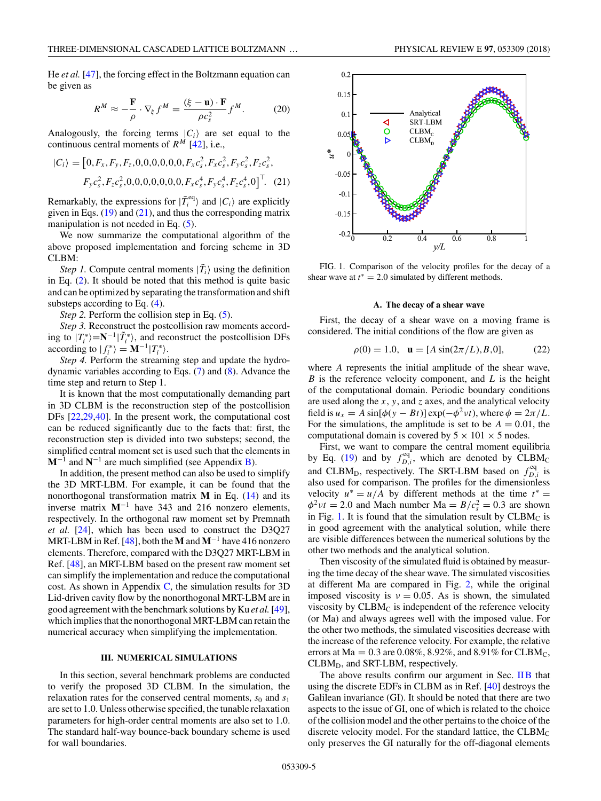<span id="page-4-0"></span>He *et al.* [\[47\]](#page-11-0), the forcing effect in the Boltzmann equation can be given as

$$
R^{M} \approx -\frac{\mathbf{F}}{\rho} \cdot \nabla_{\xi} f^{M} = \frac{(\xi - \mathbf{u}) \cdot \mathbf{F}}{\rho c_{s}^{2}} f^{M}.
$$
 (20)

Analogously, the forcing terms  $|C_i\rangle$  are set equal to the continuous central moments of  $R^M$  [\[42\]](#page-11-0), i.e.,

$$
|C_i\rangle = [0, F_x, F_y, F_z, 0, 0, 0, 0, 0, F_x c_s^2, F_x c_s^2, F_y c_s^2, F_z c_s^2, F_y c_s^2, F_z c_s^2, 0, 0, 0, 0, 0, 0, 0, F_x c_s^4, F_y c_s^4, F_z c_s^4, 0]^\top. \tag{21}
$$

Remarkably, the expressions for  $|\tilde{T}_i^{\text{eq}}\rangle$  and  $|C_i\rangle$  are explicitly given in Eqs.  $(19)$  and  $(21)$ , and thus the corresponding matrix manipulation is not needed in Eq. [\(5\)](#page-2-0).

We now summarize the computational algorithm of the above proposed implementation and forcing scheme in 3D CLBM:

*Step 1.* Compute central moments  $|\tilde{T}_i\rangle$  using the definition in Eq. [\(2\)](#page-1-0). It should be noted that this method is quite basic and can be optimized by separating the transformation and shift substeps according to Eq. [\(4\)](#page-1-0).

*Step 2.* Perform the collision step in Eq. [\(5\)](#page-2-0).

*Step 3.* Reconstruct the postcollision raw moments according to  $|T_i^*\rangle = N^{-1}|\tilde{T}_i^*\rangle$ , and reconstruct the postcollision DFs according to  $|f_i^* \rangle = \mathbf{M}^{-1} |T_i^* \rangle$ .

*Step 4.* Perform the streaming step and update the hydrodynamic variables according to Eqs. [\(7\)](#page-2-0) and [\(8\)](#page-2-0). Advance the time step and return to Step 1.

It is known that the most computationally demanding part in 3D CLBM is the reconstruction step of the postcollision DFs [\[22,29,40\]](#page-11-0). In the present work, the computational cost can be reduced significantly due to the facts that: first, the reconstruction step is divided into two substeps; second, the simplified central moment set is used such that the elements in  $M^{-1}$  and  $N^{-1}$  are much simplified (see Appendix B).

In addition, the present method can also be used to simplify the 3D MRT-LBM. For example, it can be found that the nonorthogonal transformation matrix **M** in Eq. [\(14\)](#page-3-0) and its inverse matrix  $M^{-1}$  have 343 and 216 nonzero elements, respectively. In the orthogonal raw moment set by Premnath *et al.* [\[24\]](#page-11-0), which has been used to construct the D3Q27 MRT-LBM in Ref. [\[48\]](#page-11-0), both the **M** and **M**−<sup>1</sup> have 416 nonzero elements. Therefore, compared with the D3Q27 MRT-LBM in Ref. [\[48\]](#page-11-0), an MRT-LBM based on the present raw moment set can simplify the implementation and reduce the computational cost. As shown in Appendix  $C$ , the simulation results for 3D Lid-driven cavity flow by the nonorthogonal MRT-LBM are in good agreement with the benchmark solutions by Ku *et al.*[\[49\]](#page-11-0), which implies that the nonorthogonal MRT-LBM can retain the numerical accuracy when simplifying the implementation.

#### **III. NUMERICAL SIMULATIONS**

In this section, several benchmark problems are conducted to verify the proposed 3D CLBM. In the simulation, the relaxation rates for the conserved central moments,  $s_0$  and  $s_1$ are set to 1.0. Unless otherwise specified, the tunable relaxation parameters for high-order central moments are also set to 1.0. The standard half-way bounce-back boundary scheme is used for wall boundaries.



FIG. 1. Comparison of the velocity profiles for the decay of a shear wave at  $t^* = 2.0$  simulated by different methods.

# **A. The decay of a shear wave**

First, the decay of a shear wave on a moving frame is considered. The initial conditions of the flow are given as

$$
\rho(0) = 1.0, \quad \mathbf{u} = [A\sin(2\pi/L), B, 0],\tag{22}
$$

where *A* represents the initial amplitude of the shear wave, *B* is the reference velocity component, and *L* is the height of the computational domain. Periodic boundary conditions are used along the *x*, *y*, and *z* axes, and the analytical velocity field is  $u_x = A \sin[\phi(y - Bt)] \exp(-\phi^2 v t)$ , where  $\phi = 2\pi/L$ . For the simulations, the amplitude is set to be  $A = 0.01$ , the computational domain is covered by  $5 \times 101 \times 5$  nodes.

First, we want to compare the central moment equilibria by Eq. [\(19\)](#page-3-0) and by  $f_{D,i}^{eq}$ , which are denoted by CLBM<sub>C</sub> and CLBM<sub>D</sub>, respectively. The SRT-LBM based on  $f_{D,i}^{eq}$  is also used for comparison. The profiles for the dimensionless velocity  $u^* = u/A$  by different methods at the time  $t^* =$  $\phi^2 v t = 2.0$  and Mach number Ma =  $B/c_s^2 = 0.3$  are shown in Fig. 1. It is found that the simulation result by  $CLBM<sub>C</sub>$  is in good agreement with the analytical solution, while there are visible differences between the numerical solutions by the other two methods and the analytical solution.

Then viscosity of the simulated fluid is obtained by measuring the time decay of the shear wave. The simulated viscosities at different Ma are compared in Fig. [2,](#page-5-0) while the original imposed viscosity is  $v = 0.05$ . As is shown, the simulated viscosity by  $CLBM<sub>C</sub>$  is independent of the reference velocity (or Ma) and always agrees well with the imposed value. For the other two methods, the simulated viscosities decrease with the increase of the reference velocity. For example, the relative errors at Ma = 0*.*3 are 0*.*08%, 8*.*92%, and 8*.*91% for CLBMC,  $CLBM<sub>D</sub>$ , and SRT-LBM, respectively.

The above results confirm our argument in Sec. [IIB](#page-2-0) that using the discrete EDFs in CLBM as in Ref. [\[40\]](#page-11-0) destroys the Galilean invariance (GI). It should be noted that there are two aspects to the issue of GI, one of which is related to the choice of the collision model and the other pertains to the choice of the discrete velocity model. For the standard lattice, the  $CLBM<sub>C</sub>$ only preserves the GI naturally for the off-diagonal elements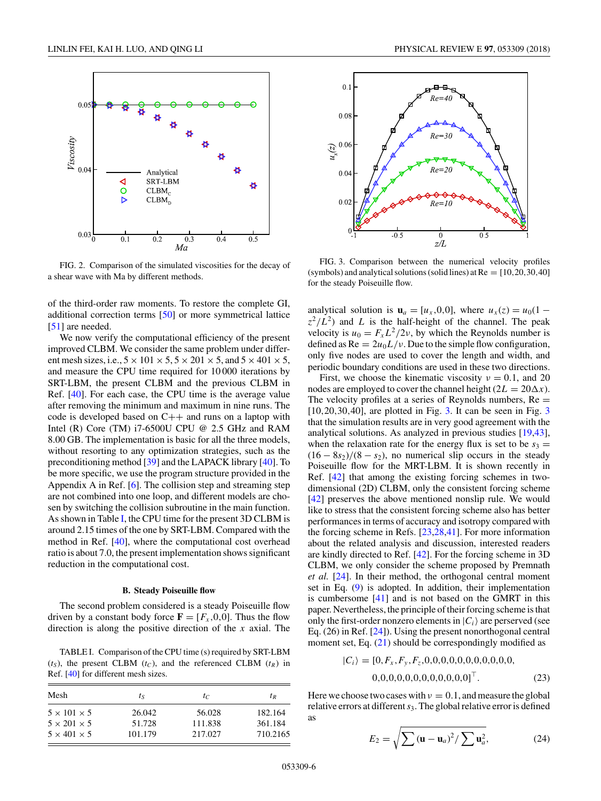<span id="page-5-0"></span>

FIG. 2. Comparison of the simulated viscosities for the decay of a shear wave with Ma by different methods.

of the third-order raw moments. To restore the complete GI, additional correction terms [\[50\]](#page-11-0) or more symmetrical lattice [\[51\]](#page-11-0) are needed.

We now verify the computational efficiency of the present improved CLBM. We consider the same problem under different mesh sizes, i.e.,  $5 \times 101 \times 5$ ,  $5 \times 201 \times 5$ , and  $5 \times 401 \times 5$ , and measure the CPU time required for 10 000 iterations by SRT-LBM, the present CLBM and the previous CLBM in Ref. [\[40\]](#page-11-0). For each case, the CPU time is the average value after removing the minimum and maximum in nine runs. The code is developed based on  $C++$  and runs on a laptop with Intel (R) Core (TM)  $i7-6500U$  CPU @ 2.5 GHz and RAM 8.00 GB. The implementation is basic for all the three models, without resorting to any optimization strategies, such as the preconditioning method [\[39\]](#page-11-0) and the LAPACK library [\[40\]](#page-11-0). To be more specific, we use the program structure provided in the Appendix A in Ref. [\[6\]](#page-11-0). The collision step and streaming step are not combined into one loop, and different models are chosen by switching the collision subroutine in the main function. As shown in Table I, the CPU time for the present 3D CLBM is around 2.15 times of the one by SRT-LBM. Compared with the method in Ref. [\[40\]](#page-11-0), where the computational cost overhead ratio is about 7.0, the present implementation shows significant reduction in the computational cost.

#### **B. Steady Poiseuille flow**

The second problem considered is a steady Poiseuille flow driven by a constant body force  $\mathbf{F} = [F_x, 0, 0]$ . Thus the flow direction is along the positive direction of the *x* axial. The

TABLE I. Comparison of the CPU time (s) required by SRT-LBM  $(t<sub>S</sub>)$ , the present CLBM  $(t<sub>C</sub>)$ , and the referenced CLBM  $(t<sub>R</sub>)$  in Ref. [\[40\]](#page-11-0) for different mesh sizes.

| Mesh                    | $t_{S}$ | $t_C$   | $I_R$    |  |  |  |
|-------------------------|---------|---------|----------|--|--|--|
| $5 \times 101 \times 5$ | 26.042  | 56.028  | 182.164  |  |  |  |
| $5 \times 201 \times 5$ | 51.728  | 111.838 | 361.184  |  |  |  |
| $5 \times 401 \times 5$ | 101.179 | 217.027 | 710.2165 |  |  |  |



FIG. 3. Comparison between the numerical velocity profiles (symbols) and analytical solutions (solid lines) at  $Re = [10, 20, 30, 40]$ for the steady Poiseuille flow.

analytical solution is  $\mathbf{u}_a = [u_x, 0, 0]$ , where  $u_x(z) = u_0(1 - z)$  $z^2/L^2$ ) and *L* is the half-height of the channel. The peak velocity is  $u_0 = F_x L^2 / 2 \nu$ , by which the Reynolds number is defined as  $\text{Re} = 2u_0 L/v$ . Due to the simple flow configuration, only five nodes are used to cover the length and width, and periodic boundary conditions are used in these two directions.

First, we choose the kinematic viscosity  $v = 0.1$ , and 20 nodes are employed to cover the channel height  $(2L = 20\Delta x)$ . The velocity profiles at a series of Reynolds numbers,  $Re =$ [10*,*20*,*30*,*40], are plotted in Fig. 3. It can be seen in Fig. 3 that the simulation results are in very good agreement with the analytical solutions. As analyzed in previous studies [\[19,43\]](#page-11-0), when the relaxation rate for the energy flux is set to be  $s_3 =$  $(16 - 8s<sub>2</sub>)/(8 - s<sub>2</sub>)$ , no numerical slip occurs in the steady Poiseuille flow for the MRT-LBM. It is shown recently in Ref. [\[42\]](#page-11-0) that among the existing forcing schemes in twodimensional (2D) CLBM, only the consistent forcing scheme [\[42\]](#page-11-0) preserves the above mentioned nonslip rule. We would like to stress that the consistent forcing scheme also has better performances in terms of accuracy and isotropy compared with the forcing scheme in Refs. [\[23,28,41\]](#page-11-0). For more information about the related analysis and discussion, interested readers are kindly directed to Ref. [\[42\]](#page-11-0). For the forcing scheme in 3D CLBM, we only consider the scheme proposed by Premnath *et al.* [\[24\]](#page-11-0). In their method, the orthogonal central moment set in Eq. [\(9\)](#page-2-0) is adopted. In addition, their implementation is cumbersome [\[41\]](#page-11-0) and is not based on the GMRT in this paper. Nevertheless, the principle of their forcing scheme is that only the first-order nonzero elements in  $|C_i\rangle$  are perserved (see Eq. (26) in Ref. [\[24\]](#page-11-0)). Using the present nonorthogonal central moment set, Eq.  $(21)$  should be correspondingly modified as

|*Ci* = [0*,Fx ,Fy ,Fz,*0*,*0*,*0*,*0*,*0*,*0*,*0*,*0*,*0*,*0*,*0*,* 0*,*0*,*0*,*0*,*0*,*0*,*0*,*0*,*0*,*0*,*0*,*0]*.* (23)

Here we choose two cases with  $\nu = 0.1$ , and measure the global relative errors at different*s*3. The global relative error is defined as

$$
E_2 = \sqrt{\sum \left(\mathbf{u} - \mathbf{u}_a\right)^2 / \sum \mathbf{u}_a^2},\tag{24}
$$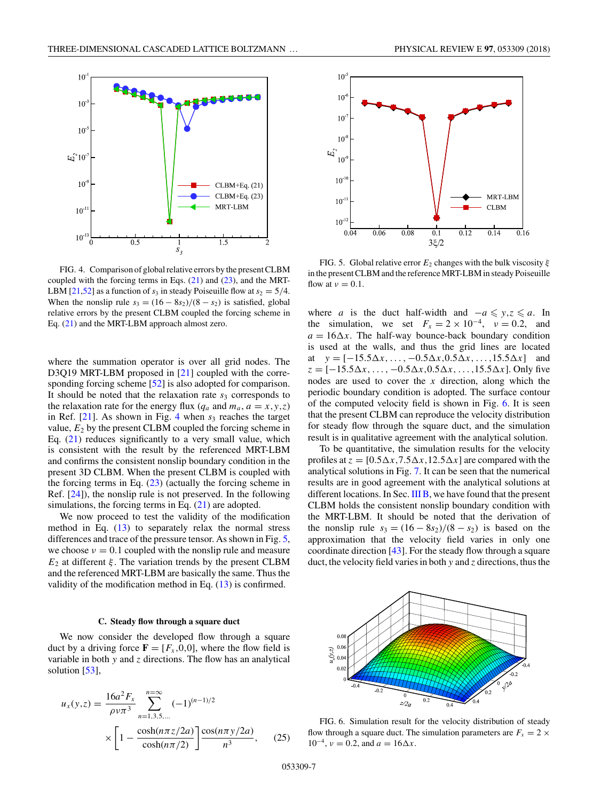

FIG. 4. Comparison of global relative errors by the present CLBM coupled with the forcing terms in Eqs. [\(21\)](#page-4-0) and [\(23\)](#page-5-0), and the MRT-LBM  $[21,52]$  as a function of  $s_3$  in steady Poiseuille flow at  $s_2 = 5/4$ . When the nonslip rule  $s_3 = (16 - 8s_2)/(8 - s_2)$  is satisfied, global relative errors by the present CLBM coupled the forcing scheme in Eq. [\(21\)](#page-4-0) and the MRT-LBM approach almost zero.

where the summation operator is over all grid nodes. The D3Q19 MRT-LBM proposed in [\[21\]](#page-11-0) coupled with the corre-sponding forcing scheme [\[52\]](#page-11-0) is also adopted for comparison. It should be noted that the relaxation rate  $s<sub>3</sub>$  corresponds to the relaxation rate for the energy flux ( $q_a$  and  $m_a$ ,  $a = x, y, z$ ) in Ref.  $[21]$ . As shown in Fig. 4 when  $s<sub>3</sub>$  reaches the target value, *E*<sup>2</sup> by the present CLBM coupled the forcing scheme in Eq. [\(21\)](#page-4-0) reduces significantly to a very small value, which is consistent with the result by the referenced MRT-LBM and confirms the consistent nonslip boundary condition in the present 3D CLBM. When the present CLBM is coupled with the forcing terms in Eq.  $(23)$  (actually the forcing scheme in Ref. [\[24\]](#page-11-0)), the nonslip rule is not preserved. In the following simulations, the forcing terms in Eq. [\(21\)](#page-4-0) are adopted.

We now proceed to test the validity of the modification method in Eq.  $(13)$  to separately relax the normal stress differences and trace of the pressure tensor. As shown in Fig. 5, we choose  $\nu = 0.1$  coupled with the nonslip rule and measure *E*<sup>2</sup> at different *ξ* . The variation trends by the present CLBM and the referenced MRT-LBM are basically the same. Thus the validity of the modification method in Eq. [\(13\)](#page-2-0) is confirmed.

#### **C. Steady flow through a square duct**

We now consider the developed flow through a square duct by a driving force  $\mathbf{F} = [F_x, 0, 0]$ , where the flow field is variable in both *y* and *z* directions. The flow has an analytical solution [\[53\]](#page-11-0),

$$
u_x(y,z) = \frac{16a^2 F_x}{\rho v \pi^3} \sum_{n=1,3,5,\dots}^{n=\infty} (-1)^{(n-1)/2}
$$

$$
\times \left[1 - \frac{\cosh(n\pi z/2a)}{\cosh(n\pi/2)}\right] \frac{\cos(n\pi y/2a)}{n^3}, \quad (25)
$$



 $\overline{0.16}$ 

FIG. 5. Global relative error  $E_2$  changes with the bulk viscosity  $\xi$ in the present CLBM and the reference MRT-LBM in steady Poiseuille flow at  $\nu = 0.1$ .

where *a* is the duct half-width and  $-a \le y, z \le a$ . In the simulation, we set  $F_x = 2 \times 10^{-4}$ ,  $v = 0.2$ , and  $a = 16\Delta x$ . The half-way bounce-back boundary condition is used at the walls, and thus the grid lines are located at  $y = [-15.5\Delta x, \ldots, -0.5\Delta x, 0.5\Delta x, \ldots, 15.5\Delta x]$  and *z* = [−15*.*5*-x, . . . ,* −0*.*5*-x,*0*.*5*-x, . . . ,*15*.*5*-x*]. Only five nodes are used to cover the *x* direction, along which the periodic boundary condition is adopted. The surface contour of the computed velocity field is shown in Fig. 6. It is seen that the present CLBM can reproduce the velocity distribution for steady flow through the square duct, and the simulation result is in qualitative agreement with the analytical solution.

To be quantitative, the simulation results for the velocity profiles at  $z = [0.5\Delta x, 7.5\Delta x, 12.5\Delta x]$  are compared with the analytical solutions in Fig. [7.](#page-7-0) It can be seen that the numerical results are in good agreement with the analytical solutions at different locations. In Sec. III B, we have found that the present CLBM holds the consistent nonslip boundary condition with the MRT-LBM. It should be noted that the derivation of the nonslip rule  $s_3 = (16 - 8s_2)/(8 - s_2)$  is based on the approximation that the velocity field varies in only one coordinate direction [\[43\]](#page-11-0). For the steady flow through a square duct, the velocity field varies in both *y* and *z* directions, thus the



FIG. 6. Simulation result for the velocity distribution of steady flow through a square duct. The simulation parameters are  $F_x = 2 \times$  $10^{-4}$ ,  $\nu = 0.2$ , and  $a = 16\Delta x$ .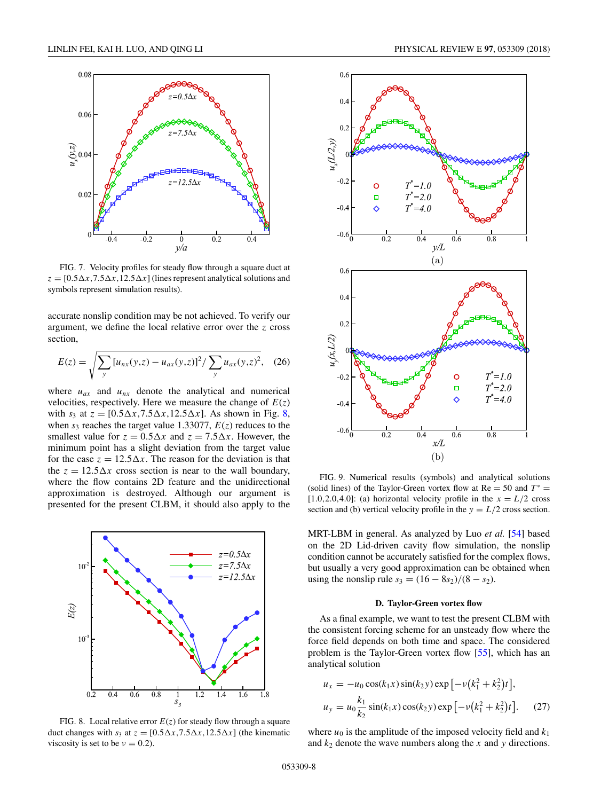

FIG. 7. Velocity profiles for steady flow through a square duct at  $z = [0.5 \Delta x, 7.5 \Delta x, 12.5 \Delta x]$  (lines represent analytical solutions and symbols represent simulation results).

accurate nonslip condition may be not achieved. To verify our argument, we define the local relative error over the *z* cross section,

$$
E(z) = \sqrt{\sum_{y} [u_{nx}(y, z) - u_{ax}(y, z)]^2 / \sum_{y} u_{ax}(y, z)^2}, \quad (26)
$$

where  $u_{ax}$  and  $u_{nx}$  denote the analytical and numerical velocities, respectively. Here we measure the change of  $E(z)$ with  $s_3$  at  $z = [0.5\Delta x, 7.5\Delta x, 12.5\Delta x]$ . As shown in Fig. 8, when  $s_3$  reaches the target value 1.33077,  $E(z)$  reduces to the smallest value for  $z = 0.5\Delta x$  and  $z = 7.5\Delta x$ . However, the minimum point has a slight deviation from the target value for the case  $z = 12.5 \Delta x$ . The reason for the deviation is that the  $z = 12.5\Delta x$  cross section is near to the wall boundary, where the flow contains 2D feature and the unidirectional approximation is destroyed. Although our argument is presented for the present CLBM, it should also apply to the



FIG. 8. Local relative error  $E(z)$  for steady flow through a square duct changes with  $s_3$  at  $z = [0.5\Delta x, 7.5\Delta x, 12.5\Delta x]$  (the kinematic viscosity is set to be  $\nu = 0.2$ ).

<span id="page-7-0"></span>



FIG. 9. Numerical results (symbols) and analytical solutions (solid lines) of the Taylor-Green vortex flow at  $Re = 50$  and  $T^* =$  $[1.0, 2.0, 4.0]$ : (a) horizontal velocity profile in the  $x = L/2$  cross section and (b) vertical velocity profile in the  $y = L/2$  cross section.

MRT-LBM in general. As analyzed by Luo *et al.* [\[54\]](#page-11-0) based on the 2D Lid-driven cavity flow simulation, the nonslip condition cannot be accurately satisfied for the complex flows, but usually a very good approximation can be obtained when using the nonslip rule  $s_3 = (16 - 8s_2)/(8 - s_2)$ .

### **D. Taylor-Green vortex flow**

As a final example, we want to test the present CLBM with the consistent forcing scheme for an unsteady flow where the force field depends on both time and space. The considered problem is the Taylor-Green vortex flow [\[55\]](#page-11-0), which has an analytical solution

$$
u_x = -u_0 \cos(k_1 x) \sin(k_2 y) \exp[-\nu (k_1^2 + k_2^2)t],
$$
  
\n
$$
u_y = u_0 \frac{k_1}{k_2} \sin(k_1 x) \cos(k_2 y) \exp[-\nu (k_1^2 + k_2^2)t].
$$
 (27)

where  $u_0$  is the amplitude of the imposed velocity field and  $k_1$ and  $k_2$  denote the wave numbers along the  $x$  and  $y$  directions.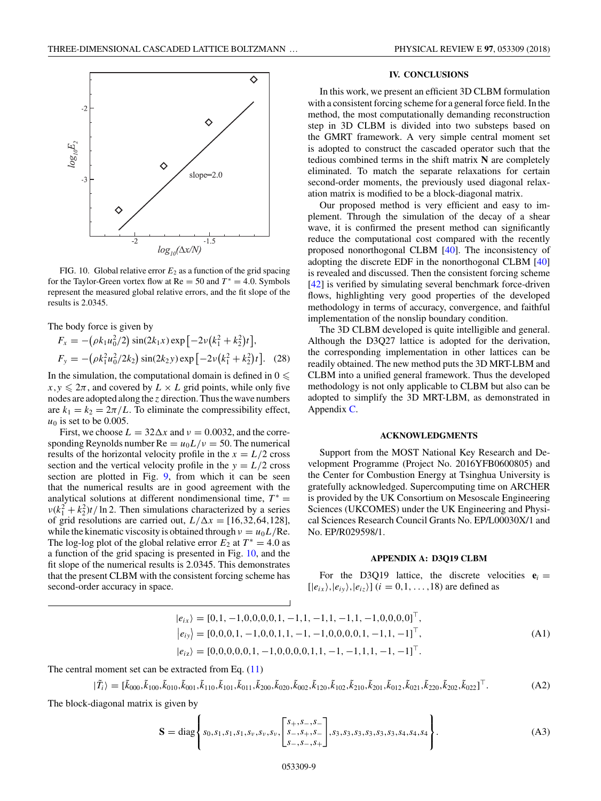<span id="page-8-0"></span>

FIG. 10. Global relative error  $E_2$  as a function of the grid spacing for the Taylor-Green vortex flow at  $Re = 50$  and  $T^* = 4.0$ . Symbols represent the measured global relative errors, and the fit slope of the results is 2.0345.

The body force is given by

$$
F_x = -(\rho k_1 u_0^2 / 2) \sin(2k_1 x) \exp[-2\nu (k_1^2 + k_2^2)t],
$$
  
\n
$$
F_y = -(\rho k_1^2 u_0^2 / 2k_2) \sin(2k_2 y) \exp[-2\nu (k_1^2 + k_2^2)t].
$$
 (28)

In the simulation, the computational domain is defined in  $0 \leqslant$  $x, y \leq 2\pi$ , and covered by  $L \times L$  grid points, while only five nodes are adopted along the *z* direction. Thus the wave numbers are  $k_1 = k_2 = 2\pi/L$ . To eliminate the compressibility effect,  $u_0$  is set to be 0.005.

First, we choose  $L = 32\Delta x$  and  $v = 0.0032$ , and the corresponding Reynolds number  $Re = u_0 L/v = 50$ . The numerical results of the horizontal velocity profile in the  $x = L/2$  cross section and the vertical velocity profile in the  $y = L/2$  cross section are plotted in Fig. [9,](#page-7-0) from which it can be seen that the numerical results are in good agreement with the analytical solutions at different nondimensional time,  $T^* =$  $v(k_1^2 + k_2^2)t/\ln 2$ . Then simulations characterized by a series of grid resolutions are carried out,  $L/\Delta x = [16, 32, 64, 128]$ , while the kinematic viscosity is obtained through  $\nu = u_0 L/Re$ . The log-log plot of the global relative error  $E_2$  at  $T^* = 4.0$  as a function of the grid spacing is presented in Fig. 10, and the fit slope of the numerical results is 2.0345. This demonstrates that the present CLBM with the consistent forcing scheme has second-order accuracy in space.

# **IV. CONCLUSIONS**

In this work, we present an efficient 3D CLBM formulation with a consistent forcing scheme for a general force field. In the method, the most computationally demanding reconstruction step in 3D CLBM is divided into two substeps based on the GMRT framework. A very simple central moment set is adopted to construct the cascaded operator such that the tedious combined terms in the shift matrix **N** are completely eliminated. To match the separate relaxations for certain second-order moments, the previously used diagonal relaxation matrix is modified to be a block-diagonal matrix.

Our proposed method is very efficient and easy to implement. Through the simulation of the decay of a shear wave, it is confirmed the present method can significantly reduce the computational cost compared with the recently proposed nonorthogonal CLBM [\[40\]](#page-11-0). The inconsistency of adopting the discrete EDF in the nonorthogonal CLBM [\[40\]](#page-11-0) is revealed and discussed. Then the consistent forcing scheme [\[42\]](#page-11-0) is verified by simulating several benchmark force-driven flows, highlighting very good properties of the developed methodology in terms of accuracy, convergence, and faithful implementation of the nonslip boundary condition.

The 3D CLBM developed is quite intelligible and general. Although the D3Q27 lattice is adopted for the derivation, the corresponding implementation in other lattices can be readily obtained. The new method puts the 3D MRT-LBM and CLBM into a unified general framework. Thus the developed methodology is not only applicable to CLBM but also can be adopted to simplify the 3D MRT-LBM, as demonstrated in Appendix [C.](#page-10-0)

#### **ACKNOWLEDGMENTS**

Support from the MOST National Key Research and Development Programme (Project No. 2016YFB0600805) and the Center for Combustion Energy at Tsinghua University is gratefully acknowledged. Supercomputing time on ARCHER is provided by the UK Consortium on Mesoscale Engineering Sciences (UKCOMES) under the UK Engineering and Physical Sciences Research Council Grants No. EP/L00030X/1 and No. EP/R029598/1.

## **APPENDIX A: D3Q19 CLBM**

For the D3Q19 lattice, the discrete velocities  $e_i =$  $[|e_{ix}\rangle, |e_{iy}\rangle, |e_{iz}\rangle]$  (*i* = 0,1, ..., 18) are defined as

$$
|e_{ix}\rangle = [0,1,-1,0,0,0,0,1,-1,1,-1,1,-1,1,-1,0,0,0,0]^\top,
$$
  
\n
$$
|e_{iy}\rangle = [0,0,0,1,-1,0,0,1,1,-1,-1,0,0,0,0,1,-1,1,-1]^\top,
$$
  
\n
$$
|e_{iz}\rangle = [0,0,0,0,0,1,-1,0,0,0,0,1,1,-1,-1,1,1,-1,-1]^\top.
$$
 (A1)

The central moment set can be extracted from Eq. [\(11\)](#page-2-0)

$$
|\tilde{T}_i\rangle = [\tilde{k}_{000}, \tilde{k}_{100}, \tilde{k}_{010}, \tilde{k}_{001}, \tilde{k}_{110}, \tilde{k}_{101}, \tilde{k}_{011}, \tilde{k}_{200}, \tilde{k}_{020}, \tilde{k}_{002}, \tilde{k}_{120}, \tilde{k}_{102}, \tilde{k}_{210}, \tilde{k}_{201}, \tilde{k}_{021}, \tilde{k}_{220}, \tilde{k}_{202}, \tilde{k}_{022}]^\top.
$$
 (A2)

The block-diagonal matrix is given by

$$
\mathbf{S} = \text{diag}\left\{s_0, s_1, s_1, s_1, s_v, s_v, \begin{bmatrix} s_+, s_-, s_- \\ s_-, s_+, s_- \\ s_-, s_-, s_+ \end{bmatrix}, s_3, s_3, s_3, s_3, s_3, s_3, s_4, s_4, s_4 \right\}.
$$
(A3)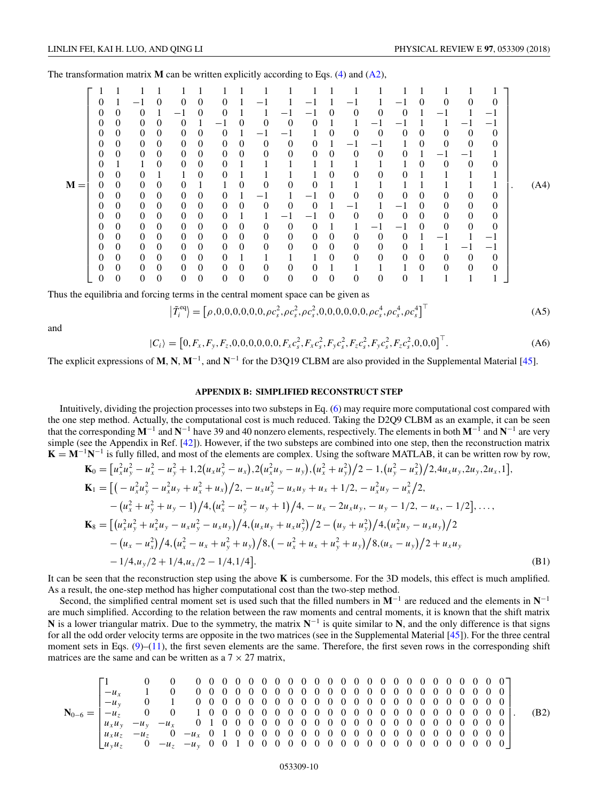<span id="page-9-0"></span>The transformation matrix  $M$  can be written explicitly according to Eqs. [\(4\)](#page-1-0) and  $(A2)$ ,

|       | 0        |                  |                  | $\Omega$ | $\Omega$       | $\theta$       | $\Omega$                         |          |                |                |                          |              |                |                |                | 0        | 0            | $\theta$          | $\theta$       |      |
|-------|----------|------------------|------------------|----------|----------------|----------------|----------------------------------|----------|----------------|----------------|--------------------------|--------------|----------------|----------------|----------------|----------|--------------|-------------------|----------------|------|
|       | 0        | 0                | 0                |          | $-1$           | 0              | $\theta$                         |          |                |                |                          | 0            | $\theta$       | 0              | $\theta$       |          | $-1$         |                   | $-1$           |      |
|       | 0        | 0                | 0                | $\Omega$ | 0              |                | $\overbrace{\phantom{12322111}}$ | $\Omega$ | $\overline{0}$ | $\Omega$       | 0                        |              |                | — I            |                |          |              | $\qquad \qquad -$ | -1             |      |
|       | $_{0}$   | 0                | $\theta$         | $\Omega$ | $\theta$       | 0              | $\theta$                         |          | —1             | — 1            |                          | 0            | $\Omega$       | $\theta$       | $\theta$       | $\Omega$ | $\theta$     | $\theta$          | $\theta$       |      |
|       | $^{(1)}$ | $\theta$         | $\theta$         | 0        | $\theta$       | $\mathbf{0}$   | $\theta$                         | 0        | 0              | $\overline{0}$ | 0                        |              | -1             |                |                | 0        | $\theta$     | $\theta$          | $\mathbf{0}$   |      |
|       | 0        | $\theta$         | $\overline{0}$   | $\theta$ | $\theta$       | $\mathbf{0}$   | $\theta$                         | 0        | 0              | $\overline{0}$ | $\overline{0}$           | $\mathbf{0}$ | $\theta$       | $\overline{0}$ | $\theta$       |          | $-1$         | $-1$              |                |      |
|       | $^{(1)}$ |                  | 1                | $\Omega$ | $\Omega$       | $\mathbf{0}$   | $\theta$                         |          |                |                |                          |              |                |                |                | $\Omega$ | $\mathbf{0}$ | $\theta$          | $\theta$       |      |
|       | 0        | $\theta$         | $\theta$         |          | 1              | $\mathbf{0}$   | $\theta$                         |          |                |                |                          | $\Omega$     | $\overline{0}$ | $\theta$       | 0              |          |              |                   |                |      |
| $M =$ | 0        | 0                | $\theta$         | $\theta$ | 0              |                | 1                                | $\theta$ | $\overline{0}$ | $\theta$       | 0                        |              |                |                |                |          |              |                   | л.             | (A4) |
|       | $^{(1)}$ | 0                | $\mathbf{0}$     | $\Omega$ | 0              | $\overline{0}$ | $\mathbf{0}$                     |          | $-1$           |                | $\overline{\phantom{0}}$ | $\Omega$     | $\Omega$       | $\overline{0}$ | $\Omega$       | $\theta$ | $\mathbf{0}$ | $\theta$          | $\mathbf{0}$   |      |
|       | $^{(1)}$ | 0                | $\theta$         | 0        | $\theta$       | 0              | $\theta$                         | 0        | $\overline{0}$ | $\Omega$       | $\overline{0}$           |              | -1             |                | —1             | $\Omega$ | 0            | $\mathbf{0}$      | $\theta$       |      |
|       | $^{(1)}$ | 0                | $\mathbf{0}$     | $\Omega$ | $\mathbf{0}$   | 0              | $\theta$                         |          |                | — 1            |                          | 0            | $\theta$       | $\mathbf{0}$   | $\Omega$       | $\theta$ | 0            | $\theta$          | 0              |      |
|       | 0        | $\theta$         | $\overline{0}$   | $\theta$ | $\theta$       | $\mathbf{0}$   | $\theta$                         | 0        | $\overline{0}$ | $\overline{0}$ | $\overline{0}$           |              |                | — 1            | — I            | $\theta$ | $\theta$     | $\theta$          | $\overline{0}$ |      |
|       | 0        | $\theta$         | $\overline{0}$   | 0        | $\theta$       | $\mathbf{0}$   | $\mathbf{0}$                     | 0        | $\mathbf{0}$   | $\Omega$       | $\overline{0}$           | $\theta$     | $\overline{0}$ | $\overline{0}$ | $\Omega$       |          | $-1$         |                   | $-1$           |      |
|       | 0        | 0                | $\overline{0}$   | 0        | $\theta$       | $\mathbf{0}$   | $\theta$                         | 0        | $\theta$       | $\left($       | $\overline{0}$           | $\theta$     | $\overline{0}$ | $\overline{0}$ | 0              |          |              |                   | $-1$           |      |
|       | 0        | $\theta$         | $\overline{0}$   | 0        | $\theta$       | 0              | $\theta$                         |          |                |                |                          | $\theta$     | $\overline{0}$ | $\theta$       | $\overline{0}$ | $\theta$ | $\theta$     | $\theta$          | $\theta$       |      |
|       | 0        | $\theta$         | $\overline{0}$   | $\Omega$ | $\overline{0}$ | 0              | $\mathbf{0}$                     | 0        | 0              | $\overline{0}$ | 0                        |              |                |                |                | $\Omega$ | $\theta$     | $\theta$          | $\theta$       |      |
|       | 0        | $\boldsymbol{0}$ | $\boldsymbol{0}$ | $\theta$ | 0              | $\mathbf{0}$   | $\mathbf{0}$                     | $\theta$ | 0              | 0              | 0                        | $\theta$     | $\theta$       | 0              | 0              |          |              |                   |                |      |

Thus the equilibria and forcing terms in the central moment space can be given as

$$
\left|\tilde{T}_{i}^{\text{eq}}\right\rangle = \left[\rho, 0, 0, 0, 0, 0, 0, \rho c_{s}^{2}, \rho c_{s}^{2}, \rho c_{s}^{2}, 0, 0, 0, 0, 0, 0, \rho c_{s}^{4}, \rho c_{s}^{4}, \rho c_{s}^{4}\right]^{\top}
$$
\n(A5)

and

$$
|C_i\rangle = [0, F_x, F_y, F_z, 0, 0, 0, 0, 0, 0, F_x c_s^2, F_x c_s^2, F_y c_s^2, F_z c_s^2, F_y c_s^2, F_z c_s^2, 0, 0, 0]^{\top}.
$$
 (A6)

The explicit expressions of **M**, **N**, **M**−1, and **N**−<sup>1</sup> for the D3Q19 CLBM are also provided in the Supplemental Material [\[45\]](#page-11-0).

# **APPENDIX B: SIMPLIFIED RECONSTRUCT STEP**

Intuitively, dividing the projection processes into two substeps in Eq. [\(6\)](#page-2-0) may require more computational cost compared with the one step method. Actually, the computational cost is much reduced. Taking the D2Q9 CLBM as an example, it can be seen that the corresponding **M**−<sup>1</sup> and **N**−<sup>1</sup> have 39 and 40 nonzero elements, respectively. The elements in both **M**−<sup>1</sup> and **N**−<sup>1</sup> are very simple (see the Appendix in Ref. [\[42\]](#page-11-0)). However, if the two substeps are combined into one step, then the reconstruction matrix  $K = M^{-1}N^{-1}$  is fully filled, and most of the elements are complex. Using the software MATLAB, it can be written row by row,

$$
\mathbf{K}_{0} = [u_{x}^{2}u_{y}^{2} - u_{x}^{2} - u_{y}^{2} + 1,2(u_{x}u_{y}^{2} - u_{x}),2(u_{x}^{2}u_{y} - u_{y}), (u_{x}^{2} + u_{y}^{2})/2 - 1, (u_{y}^{2} - u_{x}^{2})/2,4u_{x}u_{y},2u_{y},2u_{x},1],
$$
  
\n
$$
\mathbf{K}_{1} = [(-u_{x}^{2}u_{y}^{2} - u_{x}^{2}u_{y} + u_{x}^{2} + u_{x})/2, -u_{x}u_{y}^{2} - u_{x}u_{y} + u_{x} + 1/2, -u_{x}^{2}u_{y} - u_{x}^{2}/2, -((u_{x}^{2} + u_{y}^{2} + u_{y} - 1)/4, (u_{x}^{2} - u_{y}^{2} - u_{y} + 1)/4, -u_{x} - 2u_{x}u_{y}, -u_{y} - 1/2, -u_{x}, -1/2], ...,
$$
  
\n
$$
\mathbf{K}_{8} = [(u_{x}^{2}u_{y}^{2} + u_{x}^{2}u_{y} - u_{x}u_{y}^{2} - u_{x}u_{y})/4, (u_{x}u_{y} + u_{x}u_{y}^{2})/2 - (u_{y} + u_{y}^{2})/4, (u_{x}^{2}u_{y} - u_{x}u_{y})/2 - (u_{x} - u_{x}^{2})/4, (u_{x}^{2} - u_{x} + u_{y}^{2} + u_{y})/8, (-u_{x}^{2} + u_{x} + u_{y}^{2} + u_{y})/8, (u_{x} - u_{y})/2 + u_{x}u_{y}
$$
  
\n
$$
-1/4, u_{y}/2 + 1/4, u_{x}/2 - 1/4, 1/4].
$$
\n(B1)

It can be seen that the reconstruction step using the above **K** is cumbersome. For the 3D models, this effect is much amplified. As a result, the one-step method has higher computational cost than the two-step method.

Second, the simplified central moment set is used such that the filled numbers in **M**−<sup>1</sup> are reduced and the elements in **N**−<sup>1</sup> are much simplified. According to the relation between the raw moments and central moments, it is known that the shift matrix **N** is a lower triangular matrix. Due to the symmetry, the matrix **N**−<sup>1</sup> is quite similar to **N**, and the only difference is that signs for all the odd order velocity terms are opposite in the two matrices (see in the Supplemental Material [\[45\]](#page-11-0)). For the three central moment sets in Eqs.  $(9)$ – $(11)$ , the first seven elements are the same. Therefore, the first seven rows in the corresponding shift matrices are the same and can be written as a  $7 \times 27$  matrix,

**N**<sup>0</sup>−<sup>6</sup> = ⎡ ⎢ ⎢ ⎢ ⎢ ⎢ ⎢ ⎣ 1 0 0 000000000000000000000000 −*ux* 1 0 000000000000000000000000 −*uy* 0 1 000000000000000000000000 −*uz* 0 0 100000000000000000000000 *uxuy* −*uy* −*ux* 010000000000000000000000 *uxuz* −*uz* 0 −*ux* 01000000000000000000000 *uyuz* 0 −*uz* −*uy* 00100000000000000000000 ⎤ ⎥ ⎥ ⎥ ⎥ ⎥ ⎥ ⎦ *.* (B2)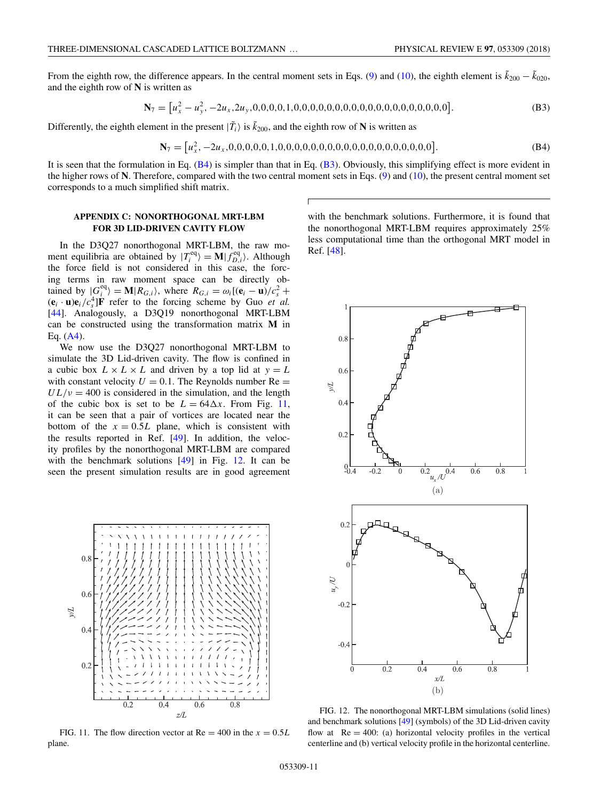<span id="page-10-0"></span>From the eighth row, the difference appears. In the central moment sets in Eqs. [\(9\)](#page-2-0) and [\(10\)](#page-2-0), the eighth element is  $\tilde{k}_{200} - \tilde{k}_{020}$ , and the eighth row of **N** is written as

**N**<sup>7</sup> = *u*2 *<sup>x</sup>* <sup>−</sup> *<sup>u</sup>*<sup>2</sup> *<sup>y</sup> ,* −2*ux ,*2*uy ,*0*,*0*,*0*,*0*,*1*,*0*,*0*,*0*,*0*,*0*,*0*,*0*,*0*,*0*,*0*,*0*,*0*,*0*,*0*,*0*,*0*,*0*,*0*,*0 *.* (B3)

Differently, the eighth element in the present  $|\tilde{T}_i\rangle$  is  $\tilde{k}_{200}$ , and the eighth row of **N** is written as

**N**<sup>7</sup> = *u*2 *<sup>x</sup> ,* −2*ux ,*0*,*0*,*0*,*0*,*0*,*1*,*0*,*0*,*0*,*0*,*0*,*0*,*0*,*0*,*0*,*0*,*0*,*0*,*0*,*0*,*0*,*0*,*0*,*0*,*0 *.* (B4)

It is seen that the formulation in Eq.  $(B4)$  is simpler than that in Eq.  $(B3)$ . Obviously, this simplifying effect is more evident in the higher rows of **N**. Therefore, compared with the two central moment sets in Eqs. [\(9\)](#page-2-0) and [\(10\)](#page-2-0), the present central moment set corresponds to a much simplified shift matrix.

# **APPENDIX C: NONORTHOGONAL MRT-LBM FOR 3D LID-DRIVEN CAVITY FLOW**

In the D3Q27 nonorthogonal MRT-LBM, the raw moment equilibria are obtained by  $|T_i^{\text{eq}}\rangle = \mathbf{M}|f_{D,i}^{\text{eq}}\rangle$ . Although the force field is not considered in this case, the forcing terms in raw moment space can be directly obtained by  $|G_i^{\text{eq}}| = M | R_{G,i} \rangle$ , where  $R_{G,i} = \omega_i [(\mathbf{e}_i - \mathbf{u})/c_s^2 +$  $(\mathbf{e}_i \cdot \mathbf{u})\mathbf{e}_i/c_s^4$  **F** refer to the forcing scheme by Guo *et al.* [\[44\]](#page-11-0). Analogously, a D3Q19 nonorthogonal MRT-LBM can be constructed using the transformation matrix **M** in Eq. [\(A4\)](#page-9-0).

We now use the D3Q27 nonorthogonal MRT-LBM to simulate the 3D Lid-driven cavity. The flow is confined in a cubic box  $L \times L \times L$  and driven by a top lid at  $y = L$ with constant velocity  $U = 0.1$ . The Reynolds number Re  $=$  $UL/\nu = 400$  is considered in the simulation, and the length of the cubic box is set to be  $L = 64\Delta x$ . From Fig. 11, it can be seen that a pair of vortices are located near the bottom of the  $x = 0.5L$  plane, which is consistent with the results reported in Ref. [\[49\]](#page-11-0). In addition, the velocity profiles by the nonorthogonal MRT-LBM are compared with the benchmark solutions [\[49\]](#page-11-0) in Fig. 12. It can be seen the present simulation results are in good agreement



FIG. 11. The flow direction vector at  $Re = 400$  in the  $x = 0.5L$ plane.

with the benchmark solutions. Furthermore, it is found that the nonorthogonal MRT-LBM requires approximately 25% less computational time than the orthogonal MRT model in Ref. [\[48\]](#page-11-0).



FIG. 12. The nonorthogonal MRT-LBM simulations (solid lines) and benchmark solutions [\[49\]](#page-11-0) (symbols) of the 3D Lid-driven cavity flow at  $Re = 400$ : (a) horizontal velocity profiles in the vertical centerline and (b) vertical velocity profile in the horizontal centerline.